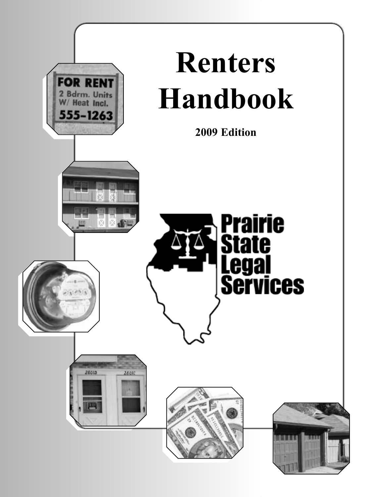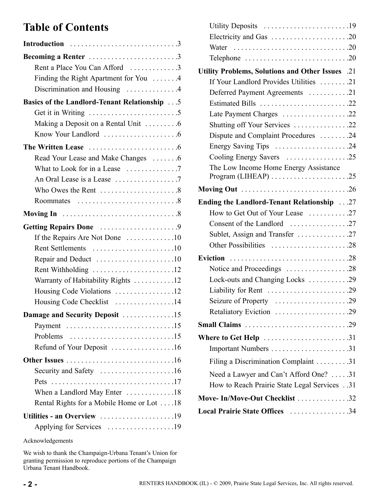# **Table of Contents**

| Introduction 3                                                               |
|------------------------------------------------------------------------------|
| Becoming a Renter 3                                                          |
| Rent a Place You Can Afford 3                                                |
| Finding the Right Apartment for You 4                                        |
| Discrimination and Housing 4                                                 |
| <b>Basics of the Landlord-Tenant Relationship 1976</b>                       |
|                                                                              |
| Making a Deposit on a Rental Unit 6                                          |
|                                                                              |
|                                                                              |
| Read Your Lease and Make Changes 6                                           |
|                                                                              |
|                                                                              |
|                                                                              |
|                                                                              |
|                                                                              |
| Getting Repairs Done 9                                                       |
| If the Repairs Are Not Done 10                                               |
| Rent Settlements 10                                                          |
|                                                                              |
| Rent Withholding 12                                                          |
| Warranty of Habitability Rights 12                                           |
| Housing Code Violations 12                                                   |
| Housing Code Checklist 14                                                    |
| Damage and Security Deposit 15                                               |
|                                                                              |
| Problems $\ldots \ldots \ldots \ldots \ldots \ldots \ldots \ldots \ldots 15$ |
| Refund of Your Deposit 16                                                    |
|                                                                              |
| Security and Safety 16                                                       |
|                                                                              |
| When a Landlord May Enter 18                                                 |
| Rental Rights for a Mobile Home or Lot 18                                    |
| Utilities - an Overview 19                                                   |
| Applying for Services 19                                                     |

| Utility Deposits 19                                                                  |  |
|--------------------------------------------------------------------------------------|--|
| Electricity and Gas 20                                                               |  |
| Water $\ldots \ldots \ldots \ldots \ldots \ldots \ldots \ldots \ldots \ldots \ldots$ |  |
|                                                                                      |  |
| Utility Problems, Solutions and Other Issues .21                                     |  |
| If Your Landlord Provides Utilities 21                                               |  |
| Deferred Payment Agreements 21                                                       |  |
| Estimated Bills 22                                                                   |  |
| Late Payment Charges 22                                                              |  |
| Shutting off Your Services 22                                                        |  |
| Dispute and Complaint Procedures 24                                                  |  |
| Energy Saving Tips 24                                                                |  |
|                                                                                      |  |
| The Low Income Home Energy Assistance                                                |  |
|                                                                                      |  |
| Ending the Landlord-Tenant Relationship 27                                           |  |
| How to Get Out of Your Lease 27                                                      |  |
|                                                                                      |  |
| Sublet, Assign and Transfer 27                                                       |  |
| Other Possibilities 28                                                               |  |
|                                                                                      |  |
| Notice and Proceedings 28                                                            |  |
| Lock-outs and Changing Locks 29                                                      |  |
| Liability for Rent 29                                                                |  |
| Seizure of Property 29                                                               |  |
| Retaliatory Eviction 29                                                              |  |
|                                                                                      |  |
| <b>Where to Get Help</b> 31                                                          |  |
|                                                                                      |  |
| Filing a Discrimination Complaint 31                                                 |  |
| Need a Lawyer and Can't Afford One? 31                                               |  |
| How to Reach Prairie State Legal Services31                                          |  |
| Move-In/Move-Out Checklist 32                                                        |  |
| Local Prairie State Offices 34                                                       |  |

Acknowledgements

We wish to thank the Champaign-Urbana Tenant's Union for granting permission to reproduce portions of the Champaign Urbana Tenant Handbook.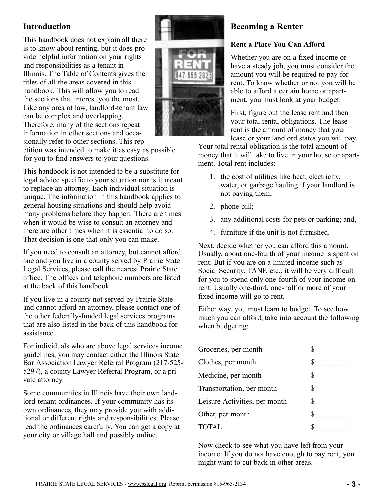# <span id="page-2-0"></span>**Introduction**

This handbook does not explain all there is to know about renting, but it does provide helpful information on your rights and responsibilities as a tenant in Illinois. The Table of Contents gives the titles of all the areas covered in this handbook. This will allow you to read the sections that interest you the most. Like any area of law, landlord-tenant law can be complex and overlapping. Therefore, many of the sections repeat information in other sections and occasionally refer to other sections. This rep-



etition was intended to make it as easy as possible for you to find answers to your questions.

This handbook is not intended to be a substitute for legal advice specific to your situation nor is it meant to replace an attorney. Each individual situation is unique. The information in this handbook applies to general housing situations and should help avoid many problems before they happen. There are times when it would be wise to consult an attorney and there are other times when it is essential to do so. That decision is one that only you can make.

If you need to consult an attorney, but cannot afford one and you live in a county served by Prairie State Legal Services, please call the nearest Prairie State office. The offices and telephone numbers are listed at the back of this handbook.

If you live in a county not served by Prairie State and cannot afford an attorney, please contact one of the other federally-funded legal services programs that are also listed in the back of this handbook for assistance.

For individuals who are above legal services income guidelines, you may contact either the Illinois State Bar Association Lawyer Referral Program (217-525- 5297), a county Lawyer Referral Program, or a private attorney.

Some communities in Illinois have their own landlord-tenant ordinances. If your community has its own ordinances, they may provide you with additional or different rights and responsibilities. Please read the ordinances carefully. You can get a copy at your city or village hall and possibly online.

# **Becoming a Renter**

## **Rent a Place You Can Afford**

Whether you are on a fixed income or have a steady job, you must consider the amount you will be required to pay for rent. To know whether or not you will be able to afford a certain home or apartment, you must look at your budget.

First, figure out the lease rent and then your total rental obligations. The lease rent is the amount of money that your lease or your landlord states you will pay.

Your total rental obligation is the total amount of money that it will take to live in your house or apartment. Total rent includes:

- 1. the cost of utilities like heat, electricity, water, or garbage hauling if your landlord is not paying them;
- 2. phone bill;
- 3. any additional costs for pets or parking; and,
- 4. furniture if the unit is not furnished.

Next, decide whether you can afford this amount. Usually, about one-fourth of your income is spent on rent. But if you are on a limited income such as Social Security, TANF, etc., it will be very difficult for you to spend only one-fourth of your income on rent. Usually one-third, one-half or more of your fixed income will go to rent.

Either way, you must learn to budget. To see how much you can afford, take into account the following when budgeting:

| Groceries, per month          |  |
|-------------------------------|--|
| Clothes, per month            |  |
| Medicine, per month           |  |
| Transportation, per month     |  |
| Leisure Activities, per month |  |
| Other, per month              |  |
| <b>TOTAL</b>                  |  |

Now check to see what you have left from your income. If you do not have enough to pay rent, you might want to cut back in other areas.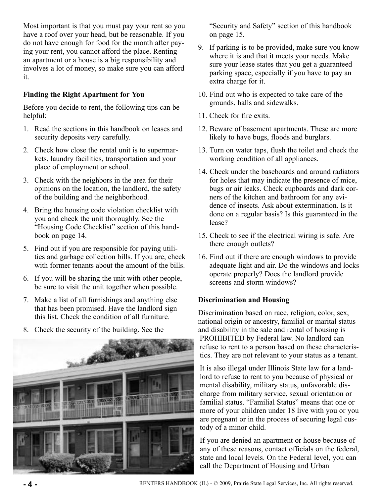<span id="page-3-0"></span>Most important is that you must pay your rent so you have a roof over your head, but be reasonable. If you do not have enough for food for the month after paying your rent, you cannot afford the place. Renting an apartment or a house is a big responsibility and involves a lot of money, so make sure you can afford it.

## **Finding the Right Apartment for You**

Before you decide to rent, the following tips can be helpful:

- 1. Read the sections in this handbook on leases and security deposits very carefully.
- 2. Check how close the rental unit is to supermarkets, laundry facilities, transportation and your place of employment or school.
- 3. Check with the neighbors in the area for their opinions on the location, the landlord, the safety of the building and the neighborhood.
- 4. Bring the housing code violation checklist with you and check the unit thoroughly. See the "Housing Code Checklist" section of this handbook on page 14.
- 5. Find out if you are responsible for paying utilities and garbage collection bills. If you are, check with former tenants about the amount of the bills.
- 6. If you will be sharing the unit with other people, be sure to visit the unit together when possible.
- 7. Make a list of all furnishings and anything else that has been promised. Have the landlord sign this list. Check the condition of all furniture.
- 8. Check the security of the building. See the



"Security and Safety" section of this handbook on page 15.

- 9. If parking is to be provided, make sure you know where it is and that it meets your needs. Make sure your lease states that you get a guaranteed parking space, especially if you have to pay an extra charge for it.
- 10. Find out who is expected to take care of the grounds, halls and sidewalks.
- 11. Check for fire exits.
- 12. Beware of basement apartments. These are more likely to have bugs, floods and burglars.
- 13. Turn on water taps, flush the toilet and check the working condition of all appliances.
- 14. Check under the baseboards and around radiators for holes that may indicate the presence of mice, bugs or air leaks. Check cupboards and dark corners of the kitchen and bathroom for any evidence of insects. Ask about extermination. Is it done on a regular basis? Is this guaranteed in the lease?
- 15. Check to see if the electrical wiring is safe. Are there enough outlets?
- 16. Find out if there are enough windows to provide adequate light and air. Do the windows and locks operate properly? Does the landlord provide screens and storm windows?

## **Discrimination and Housing**

Discrimination based on race, religion, color, sex, national origin or ancestry, familial or marital status and disability in the sale and rental of housing is PROHIBITED by Federal law. No landlord can refuse to rent to a person based on these characteristics. They are not relevant to your status as a tenant.

It is also illegal under Illinois State law for a landlord to refuse to rent to you because of physical or mental disability, military status, unfavorable discharge from military service, sexual orientation or familial status. "Familial Status" means that one or more of your children under 18 live with you or you are pregnant or in the process of securing legal custody of a minor child.

If you are denied an apartment or house because of any of these reasons, contact officials on the federal, state and local levels. On the Federal level, you can call the Department of Housing and Urban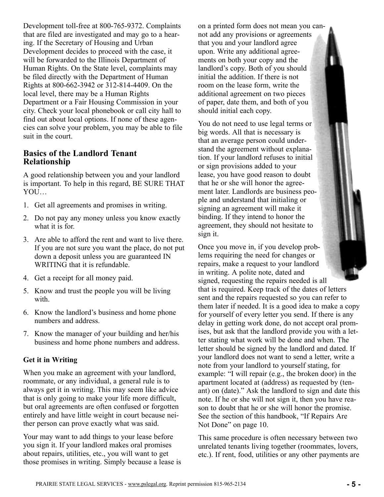<span id="page-4-0"></span>Development toll-free at 800-765-9372. Complaints that are filed are investigated and may go to a hearing. If the Secretary of Housing and Urban Development decides to proceed with the case, it will be forwarded to the Illinois Department of Human Rights. On the State level, complaints may be filed directly with the Department of Human Rights at 800-662-3942 or 312-814-4409. On the local level, there may be a Human Rights Department or a Fair Housing Commission in your city. Check your local phonebook or call city hall to find out about local options. If none of these agencies can solve your problem, you may be able to file suit in the court.

## **Basics of the Landlord Tenant Relationship**

A good relationship between you and your landlord is important. To help in this regard, BE SURE THAT YOU…

- 1. Get all agreements and promises in writing.
- 2. Do not pay any money unless you know exactly what it is for.
- 3. Are able to afford the rent and want to live there. If you are not sure you want the place, do not put down a deposit unless you are guaranteed IN WRITING that it is refundable.
- 4. Get a receipt for all money paid.
- 5. Know and trust the people you will be living with.
- 6. Know the landlord's business and home phone numbers and address.
- 7. Know the manager of your building and her/his business and home phone numbers and address.

## **Get it in Writing**

When you make an agreement with your landlord, roommate, or any individual, a general rule is to always get it in writing. This may seem like advice that is only going to make your life more difficult, but oral agreements are often confused or forgotten entirely and have little weight in court because neither person can prove exactly what was said.

Your may want to add things to your lease before you sign it. If your landlord makes oral promises about repairs, utilities, etc., you will want to get those promises in writing. Simply because a lease is on a printed form does not mean you cannot add any provisions or agreements that you and your landlord agree upon. Write any additional agreements on both your copy and the landlord's copy. Both of you should initial the addition. If there is not room on the lease form, write the additional agreement on two pieces of paper, date them, and both of you should initial each copy.

You do not need to use legal terms or big words. All that is necessary is that an average person could understand the agreement without explanation. If your landlord refuses to initial or sign provisions added to your lease, you have good reason to doubt that he or she will honor the agreement later. Landlords are business people and understand that initialing or signing an agreement will make it binding. If they intend to honor the agreement, they should not hesitate to sign it.

Once you move in, if you develop problems requiring the need for changes or repairs, make a request to your landlord in writing. A polite note, dated and signed, requesting the repairs needed is all that is required. Keep track of the dates of letters sent and the repairs requested so you can refer to them later if needed. It is a good idea to make a copy for yourself of every letter you send. If there is any delay in getting work done, do not accept oral promises, but ask that the landlord provide you with a letter stating what work will be done and when. The letter should be signed by the landlord and dated. If your landlord does not want to send a letter, write a note from your landlord to yourself stating, for example: "I will repair (e.g., the broken door) in the apartment located at (address) as requested by (tenant) on (date)." Ask the landlord to sign and date this note. If he or she will not sign it, then you have reason to doubt that he or she will honor the promise. See the section of this handbook, "If Repairs Are Not Done" on page 10.

This same procedure is often necessary between two unrelated tenants living together (roommates, lovers, etc.). If rent, food, utilities or any other payments are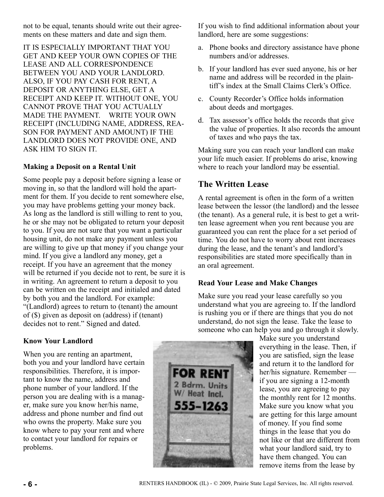<span id="page-5-0"></span>not to be equal, tenants should write out their agreements on these matters and date and sign them.

IT IS ESPECIALLY IMPORTANT THAT YOU GET AND KEEP YOUR OWN COPIES OF THE LEASE AND ALL CORRESPONDENCE BETWEEN YOU AND YOUR LANDLORD. ALSO, IF YOU PAY CASH FOR RENT, A DEPOSIT OR ANYTHING ELSE, GET A RECEIPT AND KEEP IT. WITHOUT ONE, YOU CANNOT PROVE THAT YOU ACTUALLY MADE THE PAYMENT. WRITE YOUR OWN RECEIPT (INCLUDING NAME, ADDRESS, REA-SON FOR PAYMENT AND AMOUNT) IF THE LANDLORD DOES NOT PROVIDE ONE, AND ASK HIM TO SIGN IT.

## **Making a Deposit on a Rental Unit**

Some people pay a deposit before signing a lease or moving in, so that the landlord will hold the apartment for them. If you decide to rent somewhere else, you may have problems getting your money back. As long as the landlord is still willing to rent to you, he or she may not be obligated to return your deposit to you. If you are not sure that you want a particular housing unit, do not make any payment unless you are willing to give up that money if you change your mind. If you give a landlord any money, get a receipt. If you have an agreement that the money will be returned if you decide not to rent, be sure it is in writing. An agreement to return a deposit to you can be written on the receipt and initialed and dated by both you and the landlord. For example: "(Landlord) agrees to return to (tenant) the amount of (\$) given as deposit on (address) if (tenant) decides not to rent." Signed and dated.

If you wish to find additional information about your landlord, here are some suggestions:

- a. Phone books and directory assistance have phone numbers and/or addresses.
- b. If your landlord has ever sued anyone, his or her name and address will be recorded in the plaintiff's index at the Small Claims Clerk's Office.
- c. County Recorder's Office holds information about deeds and mortgages.
- d. Tax assessor's office holds the records that give the value of properties. It also records the amount of taxes and who pays the tax.

Making sure you can reach your landlord can make your life much easier. If problems do arise, knowing where to reach your landlord may be essential.

## **The Written Lease**

A rental agreement is often in the form of a written lease between the lessor (the landlord) and the lessee (the tenant). As a general rule, it is best to get a written lease agreement when you rent because you are guaranteed you can rent the place for a set period of time. You do not have to worry about rent increases during the lease, and the tenant's and landlord's responsibilities are stated more specifically than in an oral agreement.

## **Read Your Lease and Make Changes**

Make sure you read your lease carefully so you understand what you are agreeing to. If the landlord is rushing you or if there are things that you do not understand, do not sign the lease. Take the lease to someone who can help you and go through it slowly.

Make sure you understand everything in the lease. Then, if you are satisfied, sign the lease and return it to the landlord for her/his signature. Remember if you are signing a 12-month lease, you are agreeing to pay the monthly rent for 12 months. Make sure you know what you are getting for this large amount of money. If you find some things in the lease that you do not like or that are different from what your landlord said, try to have them changed. You can remove items from the lease by

## **Know Your Landlord**

When you are renting an apartment, both you and your landlord have certain responsibilities. Therefore, it is important to know the name, address and phone number of your landlord. If the person you are dealing with is a manager, make sure you know her/his name, address and phone number and find out who owns the property. Make sure you know where to pay your rent and where to contact your landlord for repairs or problems.

![](_page_5_Picture_17.jpeg)

**FOR REN** 

2 Bdrm. Units W/ Heat Incl.

555-1263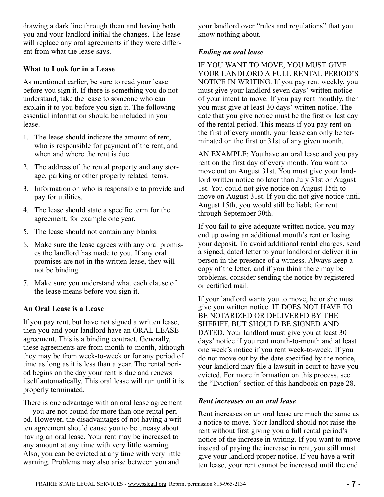<span id="page-6-0"></span>drawing a dark line through them and having both you and your landlord initial the changes. The lease will replace any oral agreements if they were different from what the lease says.

#### **What to Look for in a Lease**

As mentioned earlier, be sure to read your lease before you sign it. If there is something you do not understand, take the lease to someone who can explain it to you before you sign it. The following essential information should be included in your lease.

- 1. The lease should indicate the amount of rent, who is responsible for payment of the rent, and when and where the rent is due.
- 2. The address of the rental property and any storage, parking or other property related items.
- 3. Information on who is responsible to provide and pay for utilities.
- 4. The lease should state a specific term for the agreement, for example one year.
- 5. The lease should not contain any blanks.
- 6. Make sure the lease agrees with any oral promises the landlord has made to you. If any oral promises are not in the written lease, they will not be binding.
- 7. Make sure you understand what each clause of the lease means before you sign it.

## **An Oral Lease is a Lease**

If you pay rent, but have not signed a written lease, then you and your landlord have an ORAL LEASE agreement. This is a binding contract. Generally, these agreements are from month-to-month, although they may be from week-to-week or for any period of time as long as it is less than a year. The rental period begins on the day your rent is due and renews itself automatically. This oral lease will run until it is properly terminated.

There is one advantage with an oral lease agreement — you are not bound for more than one rental period. However, the disadvantages of not having a written agreement should cause you to be uneasy about having an oral lease. Your rent may be increased to any amount at any time with very little warning. Also, you can be evicted at any time with very little warning. Problems may also arise between you and

your landlord over "rules and regulations" that you know nothing about.

#### *Ending an oral lease*

IF YOU WANT TO MOVE, YOU MUST GIVE YOUR LANDLORD A FULL RENTAL PERIOD'S NOTICE IN WRITING. If you pay rent weekly, you must give your landlord seven days' written notice of your intent to move. If you pay rent monthly, then you must give at least 30 days' written notice. The date that you give notice must be the first or last day of the rental period. This means if you pay rent on the first of every month, your lease can only be terminated on the first or 31st of any given month.

AN EXAMPLE: You have an oral lease and you pay rent on the first day of every month. You want to move out on August 31st. You must give your landlord written notice no later than July 31st or August 1st. You could not give notice on August 15th to move on August 31st. If you did not give notice until August 15th, you would still be liable for rent through September 30th.

If you fail to give adequate written notice, you may end up owing an additional month's rent or losing your deposit. To avoid additional rental charges, send a signed, dated letter to your landlord or deliver it in person in the presence of a witness. Always keep a copy of the letter, and if you think there may be problems, consider sending the notice by registered or certified mail.

If your landlord wants you to move, he or she must give you written notice. IT DOES NOT HAVE TO BE NOTARIZED OR DELIVERED BY THE SHERIFF, BUT SHOULD BE SIGNED AND DATED. Your landlord must give you at least 30 days' notice if you rent month-to-month and at least one week's notice if you rent week-to-week. If you do not move out by the date specified by the notice, your landlord may file a lawsuit in court to have you evicted. For more information on this process, see the "Eviction" section of this handbook on page 28.

#### *Rent increases on an oral lease*

Rent increases on an oral lease are much the same as a notice to move. Your landlord should not raise the rent without first giving you a full rental period's notice of the increase in writing. If you want to move instead of paying the increase in rent, you still must give your landlord proper notice. If you have a written lease, your rent cannot be increased until the end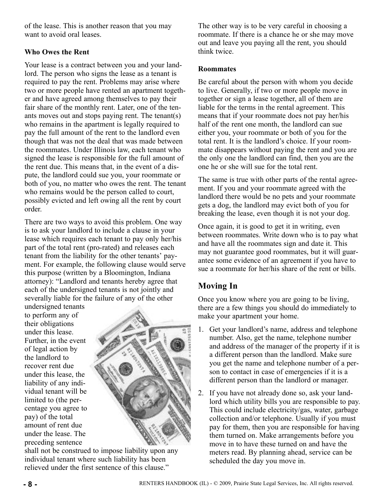<span id="page-7-0"></span>of the lease. This is another reason that you may want to avoid oral leases.

## **Who Owes the Rent**

Your lease is a contract between you and your landlord. The person who signs the lease as a tenant is required to pay the rent. Problems may arise where two or more people have rented an apartment together and have agreed among themselves to pay their fair share of the monthly rent. Later, one of the tenants moves out and stops paying rent. The tenant(s) who remains in the apartment is legally required to pay the full amount of the rent to the landlord even though that was not the deal that was made between the roommates. Under Illinois law, each tenant who signed the lease is responsible for the full amount of the rent due. This means that, in the event of a dispute, the landlord could sue you, your roommate or both of you, no matter who owes the rent. The tenant who remains would be the person called to court, possibly evicted and left owing all the rent by court order.

There are two ways to avoid this problem. One way is to ask your landlord to include a clause in your lease which requires each tenant to pay only her/his part of the total rent (pro-rated) and releases each tenant from the liability for the other tenants' payment. For example, the following clause would serve this purpose (written by a Bloomington, Indiana attorney): "Landlord and tenants hereby agree that each of the undersigned tenants is not jointly and severally liable for the failure of any of the other

undersigned tenants to perform any of their obligations under this lease. Further, in the event of legal action by the landlord to recover rent due under this lease, the liability of any individual tenant will be limited to (the percentage you agree to pay) of the total amount of rent due under the lease. The preceding sentence

![](_page_7_Picture_5.jpeg)

shall not be construed to impose liability upon any individual tenant where such liability has been relieved under the first sentence of this clause."

The other way is to be very careful in choosing a roommate. If there is a chance he or she may move out and leave you paying all the rent, you should think twice.

#### **Roommates**

Be careful about the person with whom you decide to live. Generally, if two or more people move in together or sign a lease together, all of them are liable for the terms in the rental agreement. This means that if your roommate does not pay her/his half of the rent one month, the landlord can sue either you, your roommate or both of you for the total rent. It is the landlord's choice. If your roommate disappears without paying the rent and you are the only one the landlord can find, then you are the one he or she will sue for the total rent.

The same is true with other parts of the rental agreement. If you and your roommate agreed with the landlord there would be no pets and your roommate gets a dog, the landlord may evict both of you for breaking the lease, even though it is not your dog.

Once again, it is good to get it in writing, even between roommates. Write down who is to pay what and have all the roommates sign and date it. This may not guarantee good roommates, but it will guarantee some evidence of an agreement if you have to sue a roommate for her/his share of the rent or bills.

# **Moving In**

Once you know where you are going to be living, there are a few things you should do immediately to make your apartment your home.

- 1. Get your landlord's name, address and telephone number. Also, get the name, telephone number and address of the manager of the property if it is a different person than the landlord. Make sure you get the name and telephone number of a person to contact in case of emergencies if it is a different person than the landlord or manager.
- 2. If you have not already done so, ask your landlord which utility bills you are responsible to pay. This could include electricity/gas, water, garbage collection and/or telephone. Usually if you must pay for them, then you are responsible for having them turned on. Make arrangements before you move in to have these turned on and have the meters read. By planning ahead, service can be scheduled the day you move in.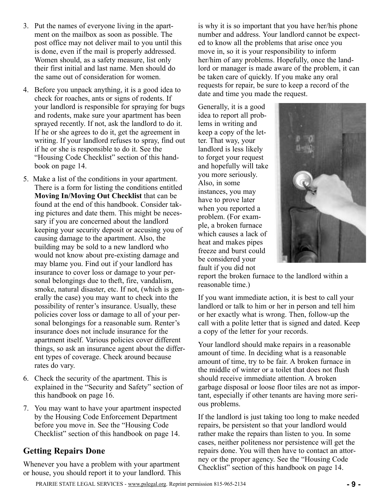- <span id="page-8-0"></span>3. Put the names of everyone living in the apartment on the mailbox as soon as possible. The post office may not deliver mail to you until this is done, even if the mail is properly addressed. Women should, as a safety measure, list only their first initial and last name. Men should do the same out of consideration for women.
- 4. Before you unpack anything, it is a good idea to check for roaches, ants or signs of rodents. If your landlord is responsible for spraying for bugs and rodents, make sure your apartment has been sprayed recently. If not, ask the landlord to do it. If he or she agrees to do it, get the agreement in writing. If your landlord refuses to spray, find out if he or she is responsible to do it. See the "Housing Code Checklist" section of this handbook on page 14.
- 5. Make a list of the conditions in your apartment. There is a form for listing the conditions entitled **Moving In/Moving Out Checklist** that can be found at the end of this handbook. Consider taking pictures and date them. This might be necessary if you are concerned about the landlord keeping your security deposit or accusing you of causing damage to the apartment. Also, the building may be sold to a new landlord who would not know about pre-existing damage and may blame you. Find out if your landlord has insurance to cover loss or damage to your personal belongings due to theft, fire, vandalism, smoke, natural disaster, etc. If not, (which is generally the case) you may want to check into the possibility of renter's insurance. Usually, these policies cover loss or damage to all of your personal belongings for a reasonable sum. Renter's insurance does not include insurance for the apartment itself. Various policies cover different things, so ask an insurance agent about the different types of coverage. Check around because rates do vary.
- 6. Check the security of the apartment. This is explained in the "Security and Safety" section of this handbook on page 16.
- 7. You may want to have your apartment inspected by the Housing Code Enforcement Department before you move in. See the "Housing Code Checklist" section of this handbook on page 14.

## **Getting Repairs Done**

Whenever you have a problem with your apartment or house, you should report it to your landlord. This is why it is so important that you have her/his phone number and address. Your landlord cannot be expected to know all the problems that arise once you move in, so it is your responsibility to inform her/him of any problems. Hopefully, once the landlord or manager is made aware of the problem, it can be taken care of quickly. If you make any oral requests for repair, be sure to keep a record of the date and time you made the request.

Generally, it is a good idea to report all problems in writing and keep a copy of the letter. That way, your landlord is less likely to forget your request and hopefully will take you more seriously. Also, in some instances, you may have to prove later when you reported a problem. (For example, a broken furnace which causes a lack of heat and makes pipes freeze and burst could be considered your fault if you did not

![](_page_8_Picture_9.jpeg)

report the broken furnace to the landlord within a reasonable time.)

If you want immediate action, it is best to call your landlord or talk to him or her in person and tell him or her exactly what is wrong. Then, follow-up the call with a polite letter that is signed and dated. Keep a copy of the letter for your records.

Your landlord should make repairs in a reasonable amount of time. In deciding what is a reasonable amount of time, try to be fair. A broken furnace in the middle of winter or a toilet that does not flush should receive immediate attention. A broken garbage disposal or loose floor tiles are not as important, especially if other tenants are having more serious problems.

If the landlord is just taking too long to make needed repairs, be persistent so that your landlord would rather make the repairs than listen to you. In some cases, neither politeness nor persistence will get the repairs done. You will then have to contact an attorney or the proper agency. See the "Housing Code Checklist" section of this handbook on page 14.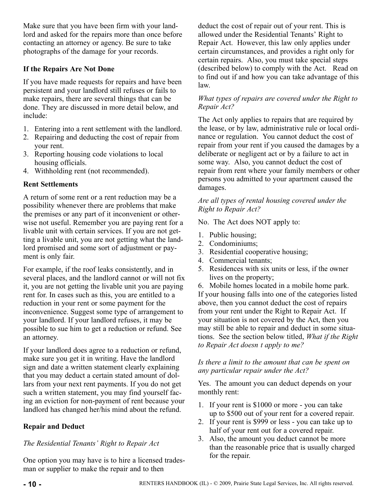<span id="page-9-0"></span>Make sure that you have been firm with your landlord and asked for the repairs more than once before contacting an attorney or agency. Be sure to take photographs of the damage for your records.

## **If the Repairs Are Not Done**

If you have made requests for repairs and have been persistent and your landlord still refuses or fails to make repairs, there are several things that can be done. They are discussed in more detail below, and include:

- 1. Entering into a rent settlement with the landlord.
- 2. Repairing and deducting the cost of repair from your rent.
- 3. Reporting housing code violations to local housing officials.
- 4. Withholding rent (not recommended).

## **Rent Settlements**

A return of some rent or a rent reduction may be a possibility whenever there are problems that make the premises or any part of it inconvenient or otherwise not useful. Remember you are paying rent for a livable unit with certain services. If you are not getting a livable unit, you are not getting what the landlord promised and some sort of adjustment or payment is only fair.

For example, if the roof leaks consistently, and in several places, and the landlord cannot or will not fix it, you are not getting the livable unit you are paying rent for. In cases such as this, you are entitled to a reduction in your rent or some payment for the inconvenience. Suggest some type of arrangement to your landlord. If your landlord refuses, it may be possible to sue him to get a reduction or refund. See an attorney.

If your landlord does agree to a reduction or refund, make sure you get it in writing. Have the landlord sign and date a written statement clearly explaining that you may deduct a certain stated amount of dollars from your next rent payments. If you do not get such a written statement, you may find yourself facing an eviction for non-payment of rent because your landlord has changed her/his mind about the refund.

## **Repair and Deduct**

## *The Residential Tenants' Right to Repair Act*

One option you may have is to hire a licensed tradesman or supplier to make the repair and to then

deduct the cost of repair out of your rent. This is allowed under the Residential Tenants' Right to Repair Act. However, this law only applies under certain circumstances, and provides a right only for certain repairs. Also, you must take special steps (described below) to comply with the Act. Read on to find out if and how you can take advantage of this law.

#### *What types of repairs are covered under the Right to Repair Act?*

The Act only applies to repairs that are required by the lease, or by law, administrative rule or local ordinance or regulation. You cannot deduct the cost of repair from your rent if you caused the damages by a deliberate or negligent act or by a failure to act in some way. Also, you cannot deduct the cost of repair from rent where your family members or other persons you admitted to your apartment caused the damages.

#### *Are all types of rental housing covered under the Right to Repair Act?*

No. The Act does NOT apply to:

- 1. Public housing;
- 2. Condominiums;
- 3. Residential cooperative housing;
- 4. Commercial tenants;
- 5. Residences with six units or less, if the owner lives on the property;
- 6. Mobile homes located in a mobile home park. If your housing falls into one of the categories listed above, then you cannot deduct the cost of repairs from your rent under the Right to Repair Act. If your situation is not covered by the Act, then you

may still be able to repair and deduct in some situations. See the section below titled, *What if the Right to Repair Act doesn t apply to me?*

#### *Is there a limit to the amount that can be spent on any particular repair under the Act?*

Yes. The amount you can deduct depends on your monthly rent:

- 1. If your rent is \$1000 or more you can take up to \$500 out of your rent for a covered repair.
- 2. If your rent is \$999 or less you can take up to half of your rent out for a covered repair.
- 3. Also, the amount you deduct cannot be more than the reasonable price that is usually charged for the repair.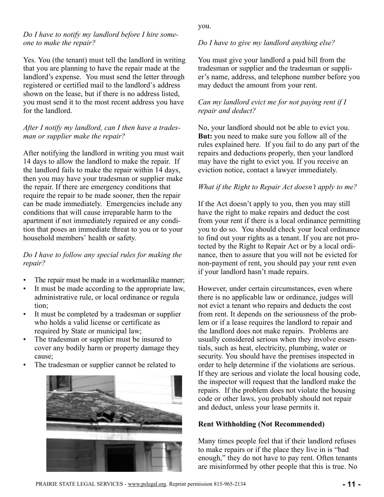#### *Do I have to notify my landlord before I hire someone to make the repair?*

Yes. You (the tenant) must tell the landlord in writing that you are planning to have the repair made at the landlord's expense. You must send the letter through registered or certified mail to the landlord's address shown on the lease, but if there is no address listed, you must send it to the most recent address you have for the landlord.

#### *After I notify my landlord, can I then have a tradesman or supplier make the repair?*

After notifying the landlord in writing you must wait 14 days to allow the landlord to make the repair. If the landlord fails to make the repair within 14 days, then you may have your tradesman or supplier make the repair. If there are emergency conditions that require the repair to be made sooner, then the repair can be made immediately. Emergencies include any conditions that will cause irreparable harm to the apartment if not immediately repaired or any condition that poses an immediate threat to you or to your household members' health or safety.

## *Do I have to follow any special rules for making the repair?*

- The repair must be made in a workmanlike manner;
- It must be made according to the appropriate law, administrative rule, or local ordinance or regula tion;
- It must be completed by a tradesman or supplier who holds a valid license or certificate as required by State or municipal law;
- The tradesman or supplier must be insured to cover any bodily harm or property damage they cause;
- The tradesman or supplier cannot be related to

![](_page_10_Picture_10.jpeg)

you.

## *Do I have to give my landlord anything else?*

You must give your landlord a paid bill from the tradesman or supplier and the tradesman or supplier's name, address, and telephone number before you may deduct the amount from your rent.

## *Can my landlord evict me for not paying rent if I repair and deduct?*

No, your landlord should not be able to evict you. **But:** you need to make sure you follow all of the rules explained here. If you fail to do any part of the repairs and deductions properly, then your landlord may have the right to evict you. If you receive an eviction notice, contact a lawyer immediately.

## *What if the Right to Repair Act doesn't apply to me?*

If the Act doesn't apply to you, then you may still have the right to make repairs and deduct the cost from your rent if there is a local ordinance permitting you to do so. You should check your local ordinance to find out your rights as a tenant. If you are not protected by the Right to Repair Act or by a local ordinance, then to assure that you will not be evicted for non-payment of rent, you should pay your rent even if your landlord hasn't made repairs.

However, under certain circumstances, even where there is no applicable law or ordinance, judges will not evict a tenant who repairs and deducts the cost from rent. It depends on the seriousness of the problem or if a lease requires the landlord to repair and the landlord does not make repairs. Problems are usually considered serious when they involve essentials, such as heat, electricity, plumbing, water or security. You should have the premises inspected in order to help determine if the violations are serious. If they are serious and violate the local housing code, the inspector will request that the landlord make the repairs. If the problem does not violate the housing code or other laws, you probably should not repair and deduct, unless your lease permits it.

## **Rent Withholding (Not Recommended)**

Many times people feel that if their landlord refuses to make repairs or if the place they live in is "bad enough," they do not have to pay rent. Often tenants are misinformed by other people that this is true. No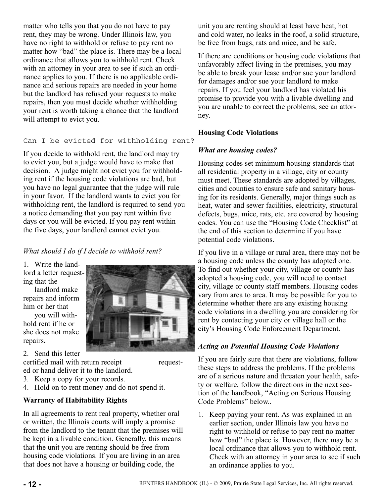<span id="page-11-0"></span>matter who tells you that you do not have to pay rent, they may be wrong. Under Illinois law, you have no right to withhold or refuse to pay rent no matter how "bad" the place is. There may be a local ordinance that allows you to withhold rent. Check with an attorney in your area to see if such an ordinance applies to you. If there is no applicable ordinance and serious repairs are needed in your home but the landlord has refused your requests to make repairs, then you must decide whether withholding your rent is worth taking a chance that the landlord will attempt to evict you.

#### Can I be evicted for withholding rent?

If you decide to withhold rent, the landlord may try to evict you, but a judge would have to make that decision. A judge might not evict you for withholding rent if the housing code violations are bad, but you have no legal guarantee that the judge will rule in your favor. If the landlord wants to evict you for withholding rent, the landlord is required to send you a notice demanding that you pay rent within five days or you will be evicted. If you pay rent within the five days, your landlord cannot evict you.

## *What should I do if I decide to withhold rent?*

1. Write the landlord a letter requesting that the

landlord make repairs and inform him or her that you will with-

hold rent if he or she does not make repairs**.**

2. Send this letter

certified mail with return receipt requested or hand deliver it to the landlord.

- 3. Keep a copy for your records.
- 4. Hold on to rent money and do not spend it.

#### **Warranty of Habitability Rights**

In all agreements to rent real property, whether oral or written, the Illinois courts will imply a promise from the landlord to the tenant that the premises will be kept in a livable condition. Generally, this means that the unit you are renting should be free from housing code violations. If you are living in an area that does not have a housing or building code, the

unit you are renting should at least have heat, hot and cold water, no leaks in the roof, a solid structure, be free from bugs, rats and mice, and be safe.

If there are conditions or housing code violations that unfavorably affect living in the premises, you may be able to break your lease and/or sue your landlord for damages and/or sue your landlord to make repairs. If you feel your landlord has violated his promise to provide you with a livable dwelling and you are unable to correct the problems, see an attorney.

#### **Housing Code Violations**

#### *What are housing codes?*

Housing codes set minimum housing standards that all residential property in a village, city or county must meet. These standards are adopted by villages, cities and counties to ensure safe and sanitary housing for its residents. Generally, major things such as heat, water and sewer facilities, electricity, structural defects, bugs, mice, rats, etc. are covered by housing codes. You can use the "Housing Code Checklist" at the end of this section to determine if you have potential code violations.

If you live in a village or rural area, there may not be a housing code unless the county has adopted one. To find out whether your city, village or county has adopted a housing code, you will need to contact city, village or county staff members. Housing codes vary from area to area. It may be possible for you to determine whether there are any existing housing code violations in a dwelling you are considering for rent by contacting your city or village hall or the city's Housing Code Enforcement Department.

#### *Acting on Potential Housing Code Violations*

If you are fairly sure that there are violations, follow these steps to address the problems. If the problems are of a serious nature and threaten your health, safety or welfare, follow the directions in the next section of the handbook, "Acting on Serious Housing Code Problems" below..

1. Keep paying your rent. As was explained in an earlier section, under Illinois law you have no right to withhold or refuse to pay rent no matter how "bad" the place is. However, there may be a local ordinance that allows you to withhold rent. Check with an attorney in your area to see if such an ordinance applies to you.

![](_page_11_Picture_22.jpeg)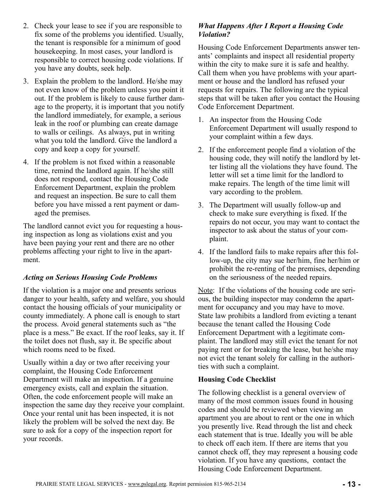- <span id="page-12-0"></span>2. Check your lease to see if you are responsible to fix some of the problems you identified. Usually, the tenant is responsible for a minimum of good housekeeping. In most cases, your landlord is responsible to correct housing code violations. If you have any doubts, seek help.
- 3. Explain the problem to the landlord. He/she may not even know of the problem unless you point it out. If the problem is likely to cause further damage to the property, it is important that you notify the landlord immediately, for example, a serious leak in the roof or plumbing can create damage to walls or ceilings. As always, put in writing what you told the landlord. Give the landlord a copy and keep a copy for yourself.
- 4. If the problem is not fixed within a reasonable time, remind the landlord again. If he/she still does not respond, contact the Housing Code Enforcement Department, explain the problem and request an inspection. Be sure to call them before you have missed a rent payment or damaged the premises.

The landlord cannot evict you for requesting a housing inspection as long as violations exist and you have been paying your rent and there are no other problems affecting your right to live in the apartment.

## *Acting on Serious Housing Code Problems*

If the violation is a major one and presents serious danger to your health, safety and welfare, you should contact the housing officials of your municipality or county immediately. A phone call is enough to start the process. Avoid general statements such as "the place is a mess." Be exact. If the roof leaks, say it. If the toilet does not flush, say it. Be specific about which rooms need to be fixed.

Usually within a day or two after receiving your complaint, the Housing Code Enforcement Department will make an inspection. If a genuine emergency exists, call and explain the situation. Often, the code enforcement people will make an inspection the same day they receive your complaint. Once your rental unit has been inspected, it is not likely the problem will be solved the next day. Be sure to ask for a copy of the inspection report for your records.

## *What Happens After I Report a Housing Code Violation?*

Housing Code Enforcement Departments answer tenants' complaints and inspect all residential property within the city to make sure it is safe and healthy. Call them when you have problems with your apartment or house and the landlord has refused your requests for repairs. The following are the typical steps that will be taken after you contact the Housing Code Enforcement Department.

- 1. An inspector from the Housing Code Enforcement Department will usually respond to your complaint within a few days.
- 2. If the enforcement people find a violation of the housing code, they will notify the landlord by letter listing all the violations they have found. The letter will set a time limit for the landlord to make repairs. The length of the time limit will vary according to the problem.
- 3. The Department will usually follow-up and check to make sure everything is fixed. If the repairs do not occur, you may want to contact the inspector to ask about the status of your complaint.
- 4. If the landlord fails to make repairs after this follow-up, the city may sue her/him, fine her/him or prohibit the re-renting of the premises, depending on the seriousness of the needed repairs.

Note: If the violations of the housing code are serious, the building inspector may condemn the apartment for occupancy and you may have to move. State law prohibits a landlord from evicting a tenant because the tenant called the Housing Code Enforcement Department with a legitimate complaint. The landlord may still evict the tenant for not paying rent or for breaking the lease, but he/she may not evict the tenant solely for calling in the authorities with such a complaint.

## **Housing Code Checklist**

The following checklist is a general overview of many of the most common issues found in housing codes and should be reviewed when viewing an apartment you are about to rent or the one in which you presently live. Read through the list and check each statement that is true. Ideally you will be able to check off each item. If there are items that you cannot check off, they may represent a housing code violation. If you have any questions, contact the Housing Code Enforcement Department.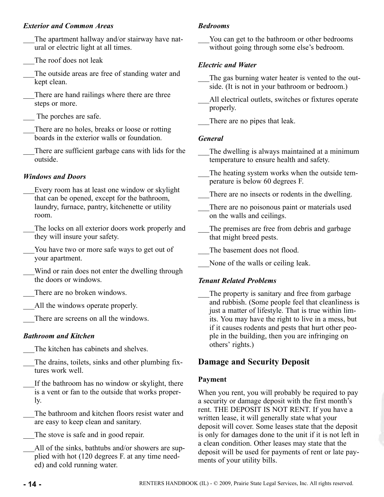## <span id="page-13-0"></span>*Exterior and Common Areas*

- The apartment hallway and/or stairway have natural or electric light at all times.
- The roof does not leak
- The outside areas are free of standing water and kept clean.
- There are hand railings where there are three steps or more.
- The porches are safe.
- There are no holes, breaks or loose or rotting boards in the exterior walls or foundation.
- There are sufficient garbage cans with lids for the outside.

## *Windows and Doors*

- \_\_\_Every room has at least one window or skylight that can be opened, except for the bathroom, laundry, furnace, pantry, kitchenette or utility room.
- The locks on all exterior doors work properly and they will insure your safety.
- You have two or more safe ways to get out of your apartment.
- Wind or rain does not enter the dwelling through the doors or windows.
- There are no broken windows.
- All the windows operate properly.
	- There are screens on all the windows.

## *Bathroom and Kitchen*

- The kitchen has cabinets and shelves.
- The drains, toilets, sinks and other plumbing fixtures work well.
- If the bathroom has no window or skylight, there is a vent or fan to the outside that works properly.
- The bathroom and kitchen floors resist water and are easy to keep clean and sanitary.
- The stove is safe and in good repair.
- All of the sinks, bathtubs and/or showers are supplied with hot (120 degrees F. at any time needed) and cold running water.

## *Bedrooms*

You can get to the bathroom or other bedrooms without going through some else's bedroom.

## *Electric and Water*

- The gas burning water heater is vented to the outside. (It is not in your bathroom or bedroom.)
- All electrical outlets, switches or fixtures operate properly.
- There are no pipes that leak.

## *General*

- The dwelling is always maintained at a minimum temperature to ensure health and safety.
- The heating system works when the outside temperature is below 60 degrees F.
- There are no insects or rodents in the dwelling.
- There are no poisonous paint or materials used on the walls and ceilings.
- The premises are free from debris and garbage that might breed pests.

The basement does not flood.

None of the walls or ceiling leak.

## *Tenant Related Problems*

The property is sanitary and free from garbage and rubbish. (Some people feel that cleanliness is just a matter of lifestyle. That is true within limits. You may have the right to live in a mess, but if it causes rodents and pests that hurt other people in the building, then you are infringing on others' rights.)

## **Damage and Security Deposit**

## **Payment**

When you rent, you will probably be required to pay a security or damage deposit with the first month's rent. THE DEPOSIT IS NOT RENT. If you have a written lease, it will generally state what your deposit will cover. Some leases state that the deposit is only for damages done to the unit if it is not left in a clean condition. Other leases may state that the deposit will be used for payments of rent or late payments of your utility bills.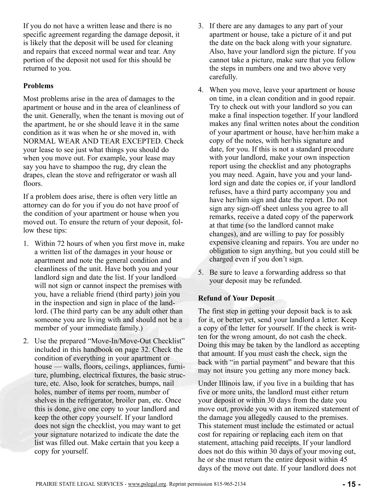<span id="page-14-0"></span>If you do not have a written lease and there is no specific agreement regarding the damage deposit, it is likely that the deposit will be used for cleaning and repairs that exceed normal wear and tear. Any portion of the deposit not used for this should be returned to you.

## **Problems**

Most problems arise in the area of damages to the apartment or house and in the area of cleanliness of the unit. Generally, when the tenant is moving out of the apartment, he or she should leave it in the same condition as it was when he or she moved in, with NORMAL WEAR AND TEAR EXCEPTED. Check your lease to see just what things you should do when you move out. For example, your lease may say you have to shampoo the rug, dry clean the drapes, clean the stove and refrigerator or wash all floors.

If a problem does arise, there is often very little an attorney can do for you if you do not have proof of the condition of your apartment or house when you moved out. To ensure the return of your deposit, follow these tips:

- 1. Within 72 hours of when you first move in, make a written list of the damages in your house or apartment and note the general condition and cleanliness of the unit. Have both you and your landlord sign and date the list. If your landlord will not sign or cannot inspect the premises with you, have a reliable friend (third party) join you in the inspection and sign in place of the landlord. (The third party can be any adult other than someone you are living with and should not be a member of your immediate family.)
- 2. Use the prepared "Move-In/Move-Out Checklist" included in this handbook on page 32. Check the condition of everything in your apartment or house — walls, floors, ceilings, appliances, furniture, plumbing, electrical fixtures, the basic structure, etc. Also, look for scratches, bumps, nail holes, number of items per room, number of shelves in the refrigerator, broiler pan, etc. Once this is done, give one copy to your landlord and keep the other copy yourself. If your landlord does not sign the checklist, you may want to get your signature notarized to indicate the date the list was filled out. Make certain that you keep a copy for yourself.
- 3. If there are any damages to any part of your apartment or house, take a picture of it and put the date on the back along with your signature. Also, have your landlord sign the picture. If you cannot take a picture, make sure that you follow the steps in numbers one and two above very carefully.
- 4. When you move, leave your apartment or house on time, in a clean condition and in good repair. Try to check out with your landlord so you can make a final inspection together. If your landlord makes any final written notes about the condition of your apartment or house, have her/him make a copy of the notes, with her/his signature and date, for you. If this is not a standard procedure with your landlord, make your own inspection report using the checklist and any photographs you may need. Again, have you and your landlord sign and date the copies or, if your landlord refuses, have a third party accompany you and have her/him sign and date the report. Do not sign any sign-off sheet unless you agree to all remarks, receive a dated copy of the paperwork at that time (so the landlord cannot make changes), and are willing to pay for possibly expensive cleaning and repairs. You are under no obligation to sign anything, but you could still be charged even if you don't sign.
- 5. Be sure to leave a forwarding address so that your deposit may be refunded.

## **Refund of Your Deposit**

The first step in getting your deposit back is to ask for it, or better yet, send your landlord a letter. Keep a copy of the letter for yourself. If the check is written for the wrong amount, do not cash the check. Doing this may be taken by the landlord as accepting that amount. If you must cash the check, sign the back with "in partial payment" and beware that this may not insure you getting any more money back.

Under Illinois law, if you live in a building that has five or more units, the landlord must either return your deposit or within 30 days from the date you move out, provide you with an itemized statement of the damage you allegedly caused to the premises. This statement must include the estimated or actual cost for repairing or replacing each item on that statement, attaching paid receipts. If your landlord does not do this within 30 days of your moving out, he or she must return the entire deposit within 45 days of the move out date. If your landlord does not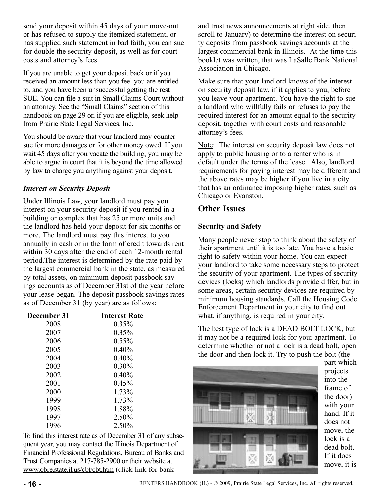<span id="page-15-0"></span>send your deposit within 45 days of your move-out or has refused to supply the itemized statement, or has supplied such statement in bad faith, you can sue for double the security deposit, as well as for court costs and attorney's fees.

If you are unable to get your deposit back or if you received an amount less than you feel you are entitled to, and you have been unsuccessful getting the rest — SUE. You can file a suit in Small Claims Court without an attorney. See the "Small Claims" section of this handbook on page 29 or, if you are eligible, seek help from Prairie State Legal Services, Inc.

You should be aware that your landlord may counter sue for more damages or for other money owed. If you wait 45 days after you vacate the building, you may be able to argue in court that it is beyond the time allowed by law to charge you anything against your deposit.

## *Interest on Security Deposit*

Under Illinois Law, your landlord must pay you interest on your security deposit if you rented in a building or complex that has 25 or more units and the landlord has held your deposit for six months or more. The landlord must pay this interest to you annually in cash or in the form of credit towards rent within 30 days after the end of each 12-month rental period.The interest is determined by the rate paid by the largest commercial bank in the state, as measured by total assets, on minimum deposit passbook savings accounts as of December 31st of the year before your lease began. The deposit passbook savings rates as of December 31 (by year) are as follows:

| December 31 | <b>Interest Rate</b> |
|-------------|----------------------|
| 2008        | $0.35\%$             |
| 2007        | 0.35%                |
| 2006        | $0.55\%$             |
| 2005        | 0.40%                |
| 2004        | 0.40%                |
| 2003        | 0.30%                |
| 2002        | 0.40%                |
| 2001        | 0.45%                |
| 2000        | 1.73%                |
| 1999        | 1.73%                |
| 1998        | 1.88%                |
| 1997        | 2.50%                |
| 1996        | 2.50%                |

To find this interest rate as of December 31 of any subsequent year, you may contact the Illinois Department of Financial Professional Regulations, Bureau of Banks and Trust Companies at 217-785-2900 or their website at www.obre.state.il.us/cbt/cbt.htm (click link for bank

and trust news announcements at right side, then scroll to January) to determine the interest on security deposits from passbook savings accounts at the largest commercial bank in Illinois. At the time this booklet was written, that was LaSalle Bank National Association in Chicago.

Make sure that your landlord knows of the interest on security deposit law, if it applies to you, before you leave your apartment. You have the right to sue a landlord who willfully fails or refuses to pay the required interest for an amount equal to the security deposit, together with court costs and reasonable attorney's fees.

Note: The interest on security deposit law does not apply to public housing or to a renter who is in default under the terms of the lease. Also, landlord requirements for paying interest may be different and the above rates may be higher if you live in a city that has an ordinance imposing higher rates, such as Chicago or Evanston.

## **Other Issues**

## **Security and Safety**

Many people never stop to think about the safety of their apartment until it is too late. You have a basic right to safety within your home. You can expect your landlord to take some necessary steps to protect the security of your apartment. The types of security devices (locks) which landlords provide differ, but in some areas, certain security devices are required by minimum housing standards. Call the Housing Code Enforcement Department in your city to find out what, if anything, is required in your city.

The best type of lock is a DEAD BOLT LOCK, but it may not be a required lock for your apartment. To determine whether or not a lock is a dead bolt, open the door and then lock it. Try to push the bolt (the

![](_page_15_Picture_14.jpeg)

part which projects into the frame of the door) with your hand. If it does not move, the lock is a dead bolt. If it does move, it is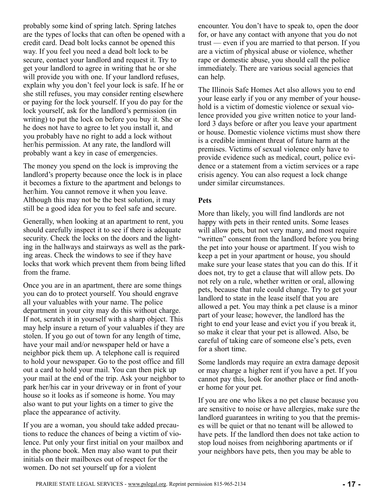<span id="page-16-0"></span>probably some kind of spring latch. Spring latches are the types of locks that can often be opened with a credit card. Dead bolt locks cannot be opened this way. If you feel you need a dead bolt lock to be secure, contact your landlord and request it. Try to get your landlord to agree in writing that he or she will provide you with one. If your landlord refuses, explain why you don't feel your lock is safe. If he or she still refuses, you may consider renting elsewhere or paying for the lock yourself. If you do pay for the lock yourself, ask for the landlord's permission (in writing) to put the lock on before you buy it. She or he does not have to agree to let you install it, and you probably have no right to add a lock without her/his permission. At any rate, the landlord will probably want a key in case of emergencies.

The money you spend on the lock is improving the landlord's property because once the lock is in place it becomes a fixture to the apartment and belongs to her/him. You cannot remove it when you leave. Although this may not be the best solution, it may still be a good idea for you to feel safe and secure.

Generally, when looking at an apartment to rent, you should carefully inspect it to see if there is adequate security. Check the locks on the doors and the lighting in the hallways and stairways as well as the parking areas. Check the windows to see if they have locks that work which prevent them from being lifted from the frame.

Once you are in an apartment, there are some things you can do to protect yourself. You should engrave all your valuables with your name. The police department in your city may do this without charge. If not, scratch it in yourself with a sharp object. This may help insure a return of your valuables if they are stolen. If you go out of town for any length of time, have your mail and/or newspaper held or have a neighbor pick them up. A telephone call is required to hold your newspaper. Go to the post office and fill out a card to hold your mail. You can then pick up your mail at the end of the trip. Ask your neighbor to park her/his car in your driveway or in front of your house so it looks as if someone is home. You may also want to put your lights on a timer to give the place the appearance of activity.

If you are a woman, you should take added precautions to reduce the chances of being a victim of violence. Put only your first initial on your mailbox and in the phone book. Men may also want to put their initials on their mailboxes out of respect for the women. Do not set yourself up for a violent

encounter. You don't have to speak to, open the door for, or have any contact with anyone that you do not trust — even if you are married to that person. If you are a victim of physical abuse or violence, whether rape or domestic abuse, you should call the police immediately. There are various social agencies that can help.

The Illinois Safe Homes Act also allows you to end your lease early if you or any member of your household is a victim of domestic violence or sexual violence provided you give written notice to your landlord 3 days before or after you leave your apartment or house. Domestic violence victims must show there is a credible imminent threat of future harm at the premises. Victims of sexual violence only have to provide evidence such as medical, court, police evidence or a statement from a victim services or a rape crisis agency. You can also request a lock change under similar circumstances.

#### **Pets**

More than likely, you will find landlords are not happy with pets in their rented units. Some leases will allow pets, but not very many, and most require "written" consent from the landlord before you bring the pet into your house or apartment. If you wish to keep a pet in your apartment or house, you should make sure your lease states that you can do this. If it does not, try to get a clause that will allow pets. Do not rely on a rule, whether written or oral, allowing pets, because that rule could change. Try to get your landlord to state in the lease itself that you are allowed a pet. You may think a pet clause is a minor part of your lease; however, the landlord has the right to end your lease and evict you if you break it, so make it clear that your pet is allowed. Also, be careful of taking care of someone else's pets, even for a short time.

Some landlords may require an extra damage deposit or may charge a higher rent if you have a pet. If you cannot pay this, look for another place or find another home for your pet.

If you are one who likes a no pet clause because you are sensitive to noise or have allergies, make sure the landlord guarantees in writing to you that the premises will be quiet or that no tenant will be allowed to have pets. If the landlord then does not take action to stop loud noises from neighboring apartments or if your neighbors have pets, then you may be able to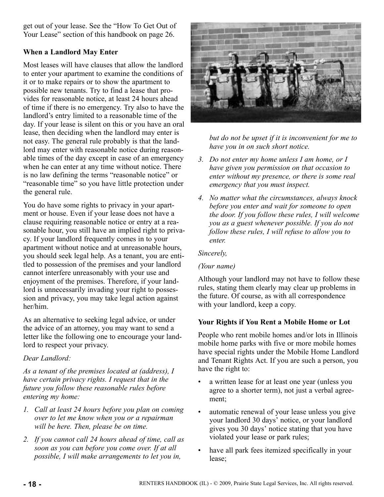<span id="page-17-0"></span>get out of your lease. See the "How To Get Out of Your Lease" section of this handbook on page 26.

## **When a Landlord May Enter**

Most leases will have clauses that allow the landlord to enter your apartment to examine the conditions of it or to make repairs or to show the apartment to possible new tenants. Try to find a lease that provides for reasonable notice, at least 24 hours ahead of time if there is no emergency. Try also to have the landlord's entry limited to a reasonable time of the day. If your lease is silent on this or you have an oral lease, then deciding when the landlord may enter is not easy. The general rule probably is that the landlord may enter with reasonable notice during reasonable times of the day except in case of an emergency when he can enter at any time without notice. There is no law defining the terms "reasonable notice" or "reasonable time" so you have little protection under the general rule.

You do have some rights to privacy in your apartment or house. Even if your lease does not have a clause requiring reasonable notice or entry at a reasonable hour, you still have an implied right to privacy. If your landlord frequently comes in to your apartment without notice and at unreasonable hours, you should seek legal help. As a tenant, you are entitled to possession of the premises and your landlord cannot interfere unreasonably with your use and enjoyment of the premises. Therefore, if your landlord is unnecessarily invading your right to possession and privacy, you may take legal action against her/him.

As an alternative to seeking legal advice, or under the advice of an attorney, you may want to send a letter like the following one to encourage your landlord to respect your privacy.

## *Dear Landlord:*

*As a tenant of the premises located at (address), I have certain privacy rights. I request that in the future you follow these reasonable rules before entering my home:*

- *1. Call at least 24 hours before you plan on coming over to let me know when you or a repairman will be here. Then, please be on time.*
- *2. If you cannot call 24 hours ahead of time, call as soon as you can before you come over. If at all possible, I will make arrangements to let you in,*

![](_page_17_Picture_9.jpeg)

*but do not be upset if it is inconvenient for me to have you in on such short notice.*

- *3. Do not enter my home unless I am home, or I have given you permission on that occasion to enter without my presence, or there is some real emergency that you must inspect.*
- *4. No matter what the circumstances, always knock before you enter and wait for someone to open the door. If you follow these rules, I will welcome you as a guest whenever possible. If you do not follow these rules, I will refuse to allow you to enter.*

#### *Sincerely,*

#### *(Your name)*

Although your landlord may not have to follow these rules, stating them clearly may clear up problems in the future. Of course, as with all correspondence with your landlord, keep a copy.

## **Your Rights if You Rent a Mobile Home or Lot**

People who rent mobile homes and/or lots in Illinois mobile home parks with five or more mobile homes have special rights under the Mobile Home Landlord and Tenant Rights Act. If you are such a person, you have the right to:

- a written lease for at least one year (unless you agree to a shorter term), not just a verbal agreement;
- automatic renewal of your lease unless you give your landlord 30 days' notice, or your landlord gives you 30 days' notice stating that you have violated your lease or park rules;
- have all park fees itemized specifically in your lease;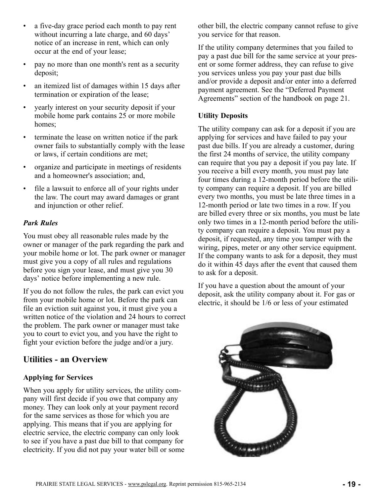- <span id="page-18-0"></span>• a five-day grace period each month to pay rent without incurring a late charge, and 60 days' notice of an increase in rent, which can only occur at the end of your lease;
- pay no more than one month's rent as a security deposit;
- an itemized list of damages within 15 days after termination or expiration of the lease;
- yearly interest on your security deposit if your mobile home park contains 25 or more mobile homes:
- terminate the lease on written notice if the park owner fails to substantially comply with the lease or laws, if certain conditions are met;
- organize and participate in meetings of residents and a homeowner's association; and,
- file a lawsuit to enforce all of your rights under the law. The court may award damages or grant and injunction or other relief.

## *Park Rules*

You must obey all reasonable rules made by the owner or manager of the park regarding the park and your mobile home or lot. The park owner or manager must give you a copy of all rules and regulations before you sign your lease, and must give you 30 days' notice before implementing a new rule.

If you do not follow the rules, the park can evict you from your mobile home or lot. Before the park can file an eviction suit against you, it must give you a written notice of the violation and 24 hours to correct the problem. The park owner or manager must take you to court to evict you, and you have the right to fight your eviction before the judge and/or a jury.

## **Utilities - an Overview**

## **Applying for Services**

When you apply for utility services, the utility company will first decide if you owe that company any money. They can look only at your payment record for the same services as those for which you are applying. This means that if you are applying for electric service, the electric company can only look to see if you have a past due bill to that company for electricity. If you did not pay your water bill or some other bill, the electric company cannot refuse to give you service for that reason.

If the utility company determines that you failed to pay a past due bill for the same service at your present or some former address, they can refuse to give you services unless you pay your past due bills and/or provide a deposit and/or enter into a deferred payment agreement. See the "Deferred Payment Agreements" section of the handbook on page 21.

## **Utility Deposits**

The utility company can ask for a deposit if you are applying for services and have failed to pay your past due bills. If you are already a customer, during the first 24 months of service, the utility company can require that you pay a deposit if you pay late. If you receive a bill every month, you must pay late four times during a 12-month period before the utility company can require a deposit. If you are billed every two months, you must be late three times in a 12-month period or late two times in a row. If you are billed every three or six months, you must be late only two times in a 12-month period before the utility company can require a deposit. You must pay a deposit, if requested, any time you tamper with the wiring, pipes, meter or any other service equipment. If the company wants to ask for a deposit, they must do it within 45 days after the event that caused them to ask for a deposit.

If you have a question about the amount of your deposit, ask the utility company about it. For gas or electric, it should be 1/6 or less of your estimated

![](_page_18_Picture_18.jpeg)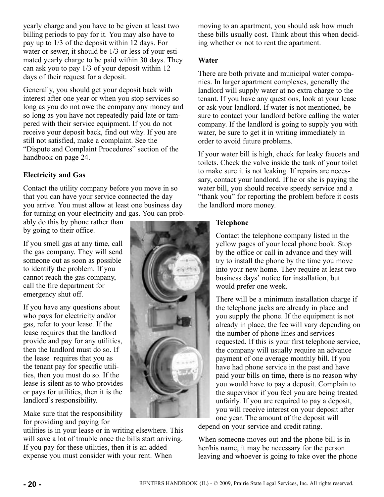<span id="page-19-0"></span>yearly charge and you have to be given at least two billing periods to pay for it. You may also have to pay up to 1/3 of the deposit within 12 days. For water or sewer, it should be 1/3 or less of your estimated yearly charge to be paid within 30 days. They can ask you to pay 1/3 of your deposit within 12 days of their request for a deposit.

Generally, you should get your deposit back with interest after one year or when you stop services so long as you do not owe the company any money and so long as you have not repeatedly paid late or tampered with their service equipment. If you do not receive your deposit back, find out why. If you are still not satisfied, make a complaint. See the "Dispute and Complaint Procedures" section of the handbook on page 24.

## **Electricity and Gas**

Contact the utility company before you move in so that you can have your service connected the day you arrive. You must allow at least one business day for turning on your electricity and gas. You can prob-

ably do this by phone rather than by going to their office.

If you smell gas at any time, call the gas company. They will send someone out as soon as possible to identify the problem. If you cannot reach the gas company, call the fire department for emergency shut off.

If you have any questions about who pays for electricity and/or gas, refer to your lease. If the lease requires that the landlord provide and pay for any utilities, then the landlord must do so. If the lease requires that you as the tenant pay for specific utilities, then you must do so. If the lease is silent as to who provides or pays for utilities, then it is the landlord's responsibility.

Make sure that the responsibility for providing and paying for

utilities is in your lease or in writing elsewhere. This will save a lot of trouble once the bills start arriving. If you pay for these utilities, then it is an added expense you must consider with your rent. When

moving to an apartment, you should ask how much these bills usually cost. Think about this when deciding whether or not to rent the apartment.

#### **Water**

There are both private and municipal water companies. In larger apartment complexes, generally the landlord will supply water at no extra charge to the tenant. If you have any questions, look at your lease or ask your landlord. If water is not mentioned, be sure to contact your landlord before calling the water company. If the landlord is going to supply you with water, be sure to get it in writing immediately in order to avoid future problems.

If your water bill is high, check for leaky faucets and toilets. Check the valve inside the tank of your toilet to make sure it is not leaking. If repairs are necessary, contact your landlord. If he or she is paying the water bill, you should receive speedy service and a "thank you" for reporting the problem before it costs the landlord more money.

#### **Telephone**

Contact the telephone company listed in the yellow pages of your local phone book. Stop by the office or call in advance and they will try to install the phone by the time you move into your new home. They require at least two business days' notice for installation, but would prefer one week.

There will be a minimum installation charge if the telephone jacks are already in place and you supply the phone. If the equipment is not already in place, the fee will vary depending on the number of phone lines and services requested. If this is your first telephone service, the company will usually require an advance payment of one average monthly bill. If you have had phone service in the past and have paid your bills on time, there is no reason why you would have to pay a deposit. Complain to the supervisor if you feel you are being treated unfairly. If you are required to pay a deposit, you will receive interest on your deposit after one year. The amount of the deposit will

depend on your service and credit rating.

When someone moves out and the phone bill is in her/his name, it may be necessary for the person leaving and whoever is going to take over the phone

![](_page_19_Picture_19.jpeg)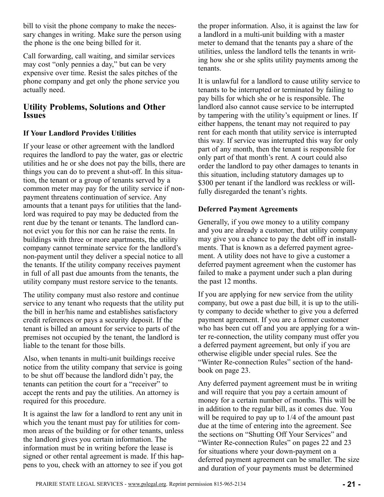<span id="page-20-0"></span>bill to visit the phone company to make the necessary changes in writing. Make sure the person using the phone is the one being billed for it.

Call forwarding, call waiting, and similar services may cost "only pennies a day," but can be very expensive over time. Resist the sales pitches of the phone company and get only the phone service you actually need.

## **Utility Problems, Solutions and Other Issues**

## **If Your Landlord Provides Utilities**

If your lease or other agreement with the landlord requires the landlord to pay the water, gas or electric utilities and he or she does not pay the bills, there are things you can do to prevent a shut-off. In this situation, the tenant or a group of tenants served by a common meter may pay for the utility service if nonpayment threatens continuation of service. Any amounts that a tenant pays for utilities that the landlord was required to pay may be deducted from the rent due by the tenant or tenants. The landlord cannot evict you for this nor can he raise the rents. In buildings with three or more apartments, the utility company cannot terminate service for the landlord's non-payment until they deliver a special notice to all the tenants. If the utility company receives payment in full of all past due amounts from the tenants, the utility company must restore service to the tenants.

The utility company must also restore and continue service to any tenant who requests that the utility put the bill in her/his name and establishes satisfactory credit references or pays a security deposit. If the tenant is billed an amount for service to parts of the premises not occupied by the tenant, the landlord is liable to the tenant for those bills.

Also, when tenants in multi-unit buildings receive notice from the utility company that service is going to be shut off because the landlord didn't pay, the tenants can petition the court for a "receiver" to accept the rents and pay the utilities. An attorney is required for this procedure.

It is against the law for a landlord to rent any unit in which you the tenant must pay for utilities for common areas of the building or for other tenants, unless the landlord gives you certain information. The information must be in writing before the lease is signed or other rental agreement is made. If this happens to you, check with an attorney to see if you got

the proper information. Also, it is against the law for a landlord in a multi-unit building with a master meter to demand that the tenants pay a share of the utilities, unless the landlord tells the tenants in writing how she or she splits utility payments among the tenants.

It is unlawful for a landlord to cause utility service to tenants to be interrupted or terminated by failing to pay bills for which she or he is responsible. The landlord also cannot cause service to be interrupted by tampering with the utility's equipment or lines. If either happens, the tenant may not required to pay rent for each month that utility service is interrupted this way. If service was interrupted this way for only part of any month, then the tenant is responsible for only part of that month's rent. A court could also order the landlord to pay other damages to tenants in this situation, including statutory damages up to \$300 per tenant if the landlord was reckless or willfully disregarded the tenant's rights.

## **Deferred Payment Agreements**

Generally, if you owe money to a utility company and you are already a customer, that utility company may give you a chance to pay the debt off in installments. That is known as a deferred payment agreement. A utility does not have to give a customer a deferred payment agreement when the customer has failed to make a payment under such a plan during the past 12 months.

If you are applying for new service from the utility company, but owe a past due bill, it is up to the utility company to decide whether to give you a deferred payment agreement. If you are a former customer who has been cut off and you are applying for a winter re-connection, the utility company must offer you a deferred payment agreement, but only if you are otherwise eligible under special rules. See the "Winter Re-connection Rules" section of the handbook on page 23.

Any deferred payment agreement must be in writing and will require that you pay a certain amount of money for a certain number of months. This will be in addition to the regular bill, as it comes due. You will be required to pay up to 1/4 of the amount past due at the time of entering into the agreement. See the sections on "Shutting Off Your Services" and "Winter Re-connection Rules" on pages 22 and 23 for situations where your down-payment on a deferred payment agreement can be smaller. The size and duration of your payments must be determined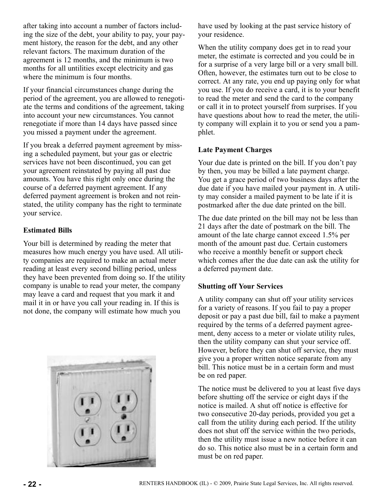<span id="page-21-0"></span>after taking into account a number of factors including the size of the debt, your ability to pay, your payment history, the reason for the debt, and any other relevant factors. The maximum duration of the agreement is 12 months, and the minimum is two months for all untilities except electricity and gas where the minimum is four months.

If your financial circumstances change during the period of the agreement, you are allowed to renegotiate the terms and conditions of the agreement, taking into account your new circumstances. You cannot renegotiate if more than 14 days have passed since you missed a payment under the agreement.

If you break a deferred payment agreement by missing a scheduled payment, but your gas or electric services have not been discontinued, you can get your agreement reinstated by paying all past due amounts. You have this right only once during the course of a deferred payment agreement. If any deferred payment agreement is broken and not reinstated, the utility company has the right to terminate your service.

## **Estimated Bills**

Your bill is determined by reading the meter that measures how much energy you have used. All utility companies are required to make an actual meter reading at least every second billing period, unless they have been prevented from doing so. If the utility company is unable to read your meter, the company may leave a card and request that you mark it and mail it in or have you call your reading in. If this is not done, the company will estimate how much you

![](_page_21_Picture_5.jpeg)

have used by looking at the past service history of your residence.

When the utility company does get in to read your meter, the estimate is corrected and you could be in for a surprise of a very large bill or a very small bill. Often, however, the estimates turn out to be close to correct. At any rate, you end up paying only for what you use. If you do receive a card, it is to your benefit to read the meter and send the card to the company or call it in to protect yourself from surprises. If you have questions about how to read the meter, the utility company will explain it to you or send you a pamphlet.

## **Late Payment Charges**

Your due date is printed on the bill. If you don't pay by then, you may be billed a late payment charge. You get a grace period of two business days after the due date if you have mailed your payment in. A utility may consider a mailed payment to be late if it is postmarked after the due date printed on the bill.

The due date printed on the bill may not be less than 21 days after the date of postmark on the bill. The amount of the late charge cannot exceed 1.5% per month of the amount past due. Certain customers who receive a monthly benefit or support check which comes after the due date can ask the utility for a deferred payment date.

## **Shutting off Your Services**

A utility company can shut off your utility services for a variety of reasons. If you fail to pay a proper deposit or pay a past due bill, fail to make a payment required by the terms of a deferred payment agreement, deny access to a meter or violate utility rules, then the utility company can shut your service off. However, before they can shut off service, they must give you a proper written notice separate from any bill. This notice must be in a certain form and must be on red paper.

The notice must be delivered to you at least five days before shutting off the service or eight days if the notice is mailed. A shut off notice is effective for two consecutive 20-day periods, provided you get a call from the utility during each period. If the utility does not shut off the service within the two periods, then the utility must issue a new notice before it can do so. This notice also must be in a certain form and must be on red paper.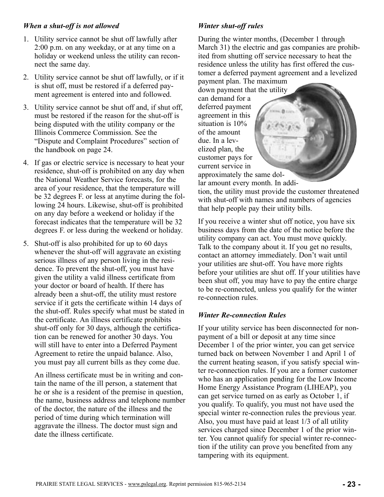## <span id="page-22-0"></span>*When a shut-off is not allowed*

- 1. Utility service cannot be shut off lawfully after 2:00 p.m. on any weekday, or at any time on a holiday or weekend unless the utility can reconnect the same day.
- 2. Utility service cannot be shut off lawfully, or if it is shut off, must be restored if a deferred payment agreement is entered into and followed.
- 3. Utility service cannot be shut off and, if shut off, must be restored if the reason for the shut-off is being disputed with the utility company or the Illinois Commerce Commission. See the "Dispute and Complaint Procedures" section of the handbook on page 24.
- 4. If gas or electric service is necessary to heat your residence, shut-off is prohibited on any day when the National Weather Service forecasts, for the area of your residence, that the temperature will be 32 degrees F. or less at anytime during the following 24 hours. Likewise, shut-off is prohibited on any day before a weekend or holiday if the forecast indicates that the temperature will be 32 degrees F. or less during the weekend or holiday.
- 5. Shut-off is also prohibited for up to 60 days whenever the shut-off will aggravate an existing serious illness of any person living in the residence. To prevent the shut-off, you must have given the utility a valid illness certificate from your doctor or board of health. If there has already been a shut-off, the utility must restore service if it gets the certificate within 14 days of the shut-off. Rules specify what must be stated in the certificate. An illness certificate prohibits shut-off only for 30 days, although the certification can be renewed for another 30 days. You will still have to enter into a Deferred Payment Agreement to retire the unpaid balance. Also, you must pay all current bills as they come due.

An illness certificate must be in writing and contain the name of the ill person, a statement that he or she is a resident of the premise in question, the name, business address and telephone number of the doctor, the nature of the illness and the period of time during which termination will aggravate the illness. The doctor must sign and date the illness certificate.

## *Winter shut-off rules*

During the winter months, (December 1 through March 31) the electric and gas companies are prohibited from shutting off service necessary to heat the residence unless the utility has first offered the customer a deferred payment agreement and a levelized payment plan. The maximum

down payment that the utility

can demand for a deferred payment agreement in this situation is 10% of the amount due. In a levelized plan, the customer pays for current service in

approximately the same dollar amount every month. In addition, the utility must provide the customer threatened with shut-off with names and numbers of agencies that help people pay their utility bills.

If you receive a winter shut off notice, you have six business days from the date of the notice before the utility company can act. You must move quickly. Talk to the company about it. If you get no results, contact an attorney immediately. Don't wait until your utilities are shut-off. You have more rights before your utilities are shut off. If your utilities have been shut off, you may have to pay the entire charge to be re-connected, unless you qualify for the winter re-connection rules.

## *Winter Re-connection Rules*

If your utility service has been disconnected for nonpayment of a bill or deposit at any time since December 1 of the prior winter, you can get service turned back on between November 1 and April 1 of the current heating season, if you satisfy special winter re-connection rules. If you are a former customer who has an application pending for the Low Income Home Energy Assistance Program (LIHEAP), you can get service turned on as early as October 1, if you qualify. To qualify, you must not have used the special winter re-connection rules the previous year. Also, you must have paid at least 1/3 of all utility services charged since December 1 of the prior winter. You cannot qualify for special winter re-connection if the utility can prove you benefited from any tampering with its equipment.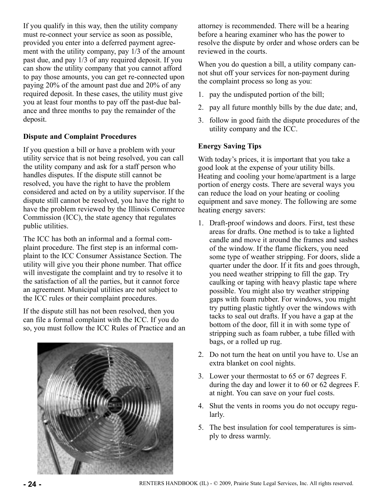<span id="page-23-0"></span>If you qualify in this way, then the utility company must re-connect your service as soon as possible, provided you enter into a deferred payment agreement with the utility company, pay 1/3 of the amount past due, and pay 1/3 of any required deposit. If you can show the utility company that you cannot afford to pay those amounts, you can get re-connected upon paying 20% of the amount past due and 20% of any required deposit. In these cases, the utility must give you at least four months to pay off the past-due balance and three months to pay the remainder of the deposit.

## **Dispute and Complaint Procedures**

If you question a bill or have a problem with your utility service that is not being resolved, you can call the utility company and ask for a staff person who handles disputes. If the dispute still cannot be resolved, you have the right to have the problem considered and acted on by a utility supervisor. If the dispute still cannot be resolved, you have the right to have the problem reviewed by the Illinois Commerce Commission (ICC), the state agency that regulates public utilities.

The ICC has both an informal and a formal complaint procedure. The first step is an informal complaint to the ICC Consumer Assistance Section. The utility will give you their phone number. That office will investigate the complaint and try to resolve it to the satisfaction of all the parties, but it cannot force an agreement. Municipal utilities are not subject to the ICC rules or their complaint procedures.

If the dispute still has not been resolved, then you can file a formal complaint with the ICC. If you do so, you must follow the ICC Rules of Practice and an

![](_page_23_Picture_5.jpeg)

attorney is recommended. There will be a hearing before a hearing examiner who has the power to resolve the dispute by order and whose orders can be reviewed in the courts.

When you do question a bill, a utility company cannot shut off your services for non-payment during the complaint process so long as you:

- 1. pay the undisputed portion of the bill;
- 2. pay all future monthly bills by the due date; and,
- 3. follow in good faith the dispute procedures of the utility company and the ICC.

## **Energy Saving Tips**

With today's prices, it is important that you take a good look at the expense of your utility bills. Heating and cooling your home/apartment is a large portion of energy costs. There are several ways you can reduce the load on your heating or cooling equipment and save money. The following are some heating energy savers:

- 1. Draft-proof windows and doors. First, test these areas for drafts. One method is to take a lighted candle and move it around the frames and sashes of the window. If the flame flickers, you need some type of weather stripping. For doors, slide a quarter under the door. If it fits and goes through, you need weather stripping to fill the gap. Try caulking or taping with heavy plastic tape where possible. You might also try weather stripping gaps with foam rubber. For windows, you might try putting plastic tightly over the windows with tacks to seal out drafts. If you have a gap at the bottom of the door, fill it in with some type of stripping such as foam rubber, a tube filled with bags, or a rolled up rug.
- 2. Do not turn the heat on until you have to. Use an extra blanket on cool nights.
- 3. Lower your thermostat to 65 or 67 degrees F. during the day and lower it to 60 or 62 degrees F. at night. You can save on your fuel costs.
- 4. Shut the vents in rooms you do not occupy regularly.
- 5. The best insulation for cool temperatures is simply to dress warmly.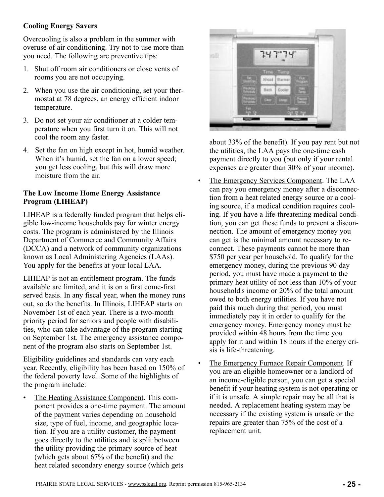## <span id="page-24-0"></span>**Cooling Energy Savers**

Overcooling is also a problem in the summer with overuse of air conditioning. Try not to use more than you need. The following are preventive tips:

- 1. Shut off room air conditioners or close vents of rooms you are not occupying.
- 2. When you use the air conditioning, set your thermostat at 78 degrees, an energy efficient indoor temperature.
- 3. Do not set your air conditioner at a colder temperature when you first turn it on. This will not cool the room any faster.
- 4. Set the fan on high except in hot, humid weather. When it's humid, set the fan on a lower speed; you get less cooling, but this will draw more moisture from the air.

## **The Low Income Home Energy Assistance Program (LIHEAP)**

LIHEAP is a federally funded program that helps eligible low-income households pay for winter energy costs. The program is administered by the Illinois Department of Commerce and Community Affairs (DCCA) and a network of community organizations known as Local Administering Agencies (LAAs). You apply for the benefits at your local LAA.

LIHEAP is not an entitlement program. The funds available are limited, and it is on a first come-first served basis. In any fiscal year, when the money runs out, so do the benefits. In Illinois, LIHEAP starts on November 1st of each year. There is a two-month priority period for seniors and people with disabilities, who can take advantage of the program starting on September 1st. The emergency assistance component of the program also starts on September 1st.

Eligibility guidelines and standards can vary each year. Recently, eligibility has been based on 150% of the federal poverty level. Some of the highlights of the program include:

• The Heating Assistance Component. This component provides a one-time payment. The amount of the payment varies depending on household size, type of fuel, income, and geographic location. If you are a utility customer, the payment goes directly to the utilities and is split between the utility providing the primary source of heat (which gets about 67% of the benefit) and the heat related secondary energy source (which gets

![](_page_24_Picture_11.jpeg)

about 33% of the benefit). If you pay rent but not the utilities, the LAA pays the one-time cash payment directly to you (but only if your rental expenses are greater than 30% of your income).

- The Emergency Services Component. The LAA can pay you emergency money after a disconnection from a heat related energy source or a cooling source, if a medical condition requires cooling. If you have a life-threatening medical condition, you can get these funds to prevent a disconnection. The amount of emergency money you can get is the minimal amount necessary to reconnect. These payments cannot be more than \$750 per year per household. To qualify for the emergency money, during the previous 90 day period, you must have made a payment to the primary heat utility of not less than 10% of your household's income or 20% of the total amount owed to both energy utilities. If you have not paid this much during that period, you must immediately pay it in order to qualify for the emergency money. Emergency money must be provided within 48 hours from the time you apply for it and within 18 hours if the energy crisis is life-threatening.
- The Emergency Furnace Repair Component. If you are an eligible homeowner or a landlord of an income-eligible person, you can get a special benefit if your heating system is not operating or if it is unsafe. A simple repair may be all that is needed. A replacement heating system may be necessary if the existing system is unsafe or the repairs are greater than 75% of the cost of a replacement unit.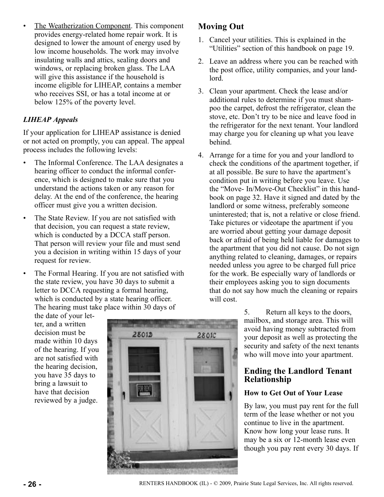<span id="page-25-0"></span>• The Weatherization Component. This component provides energy-related home repair work. It is designed to lower the amount of energy used by low income households. The work may involve insulating walls and attics, sealing doors and windows, or replacing broken glass. The LAA will give this assistance if the household is income eligible for LIHEAP, contains a member who receives SSI, or has a total income at or below 125% of the poverty level.

## *LIHEAP Appeals*

If your application for LIHEAP assistance is denied or not acted on promptly, you can appeal. The appeal process includes the following levels:

- The Informal Conference. The LAA designates a hearing officer to conduct the informal conference, which is designed to make sure that you understand the actions taken or any reason for delay. At the end of the conference, the hearing officer must give you a written decision.
- The State Review. If you are not satisfied with that decision, you can request a state review, which is conducted by a DCCA staff person. That person will review your file and must send you a decision in writing within 15 days of your request for review.
- The Formal Hearing. If you are not satisfied with the state review, you have 30 days to submit a letter to DCCA requesting a formal hearing, which is conducted by a state hearing officer. The hearing must take place within 30 days of

the date of your letter, and a written decision must be made within 10 days of the hearing. If you are not satisfied with the hearing decision, you have 35 days to bring a lawsuit to have that decision reviewed by a judge.

![](_page_25_Picture_7.jpeg)

# **Moving Out**

- 1. Cancel your utilities. This is explained in the "Utilities" section of this handbook on page 19.
- 2. Leave an address where you can be reached with the post office, utility companies, and your landlord.
- 3. Clean your apartment. Check the lease and/or additional rules to determine if you must shampoo the carpet, defrost the refrigerator, clean the stove, etc. Don't try to be nice and leave food in the refrigerator for the next tenant. Your landlord may charge you for cleaning up what you leave behind.
- 4. Arrange for a time for you and your landlord to check the conditions of the apartment together, if at all possible. Be sure to have the apartment's condition put in writing before you leave. Use the "Move- In/Move-Out Checklist" in this handbook on page 32. Have it signed and dated by the landlord or some witness, preferably someone uninterested; that is, not a relative or close friend. Take pictures or videotape the apartment if you are worried about getting your damage deposit back or afraid of being held liable for damages to the apartment that you did not cause. Do not sign anything related to cleaning, damages, or repairs needed unless you agree to be charged full price for the work. Be especially wary of landlords or their employees asking you to sign documents that do not say how much the cleaning or repairs will cost.

5. Return all keys to the doors, mailbox, and storage area. This will avoid having money subtracted from your deposit as well as protecting the security and safety of the next tenants who will move into your apartment.

## **Ending the Landlord Tenant Relationship**

## **How to Get Out of Your Lease**

By law, you must pay rent for the full term of the lease whether or not you continue to live in the apartment. Know how long your lease runs. It may be a six or 12-month lease even though you pay rent every 30 days. If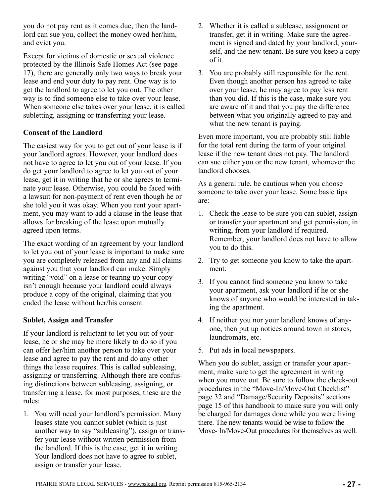<span id="page-26-0"></span>you do not pay rent as it comes due, then the landlord can sue you, collect the money owed her/him, and evict you.

Except for victims of domestic or sexual violence protected by the Illinois Safe Homes Act (see page 17), there are generally only two ways to break your lease and end your duty to pay rent. One way is to get the landlord to agree to let you out. The other way is to find someone else to take over your lease. When someone else takes over your lease, it is called subletting, assigning or transferring your lease.

## **Consent of the Landlord**

The easiest way for you to get out of your lease is if your landlord agrees. However, your landlord does not have to agree to let you out of your lease. If you do get your landlord to agree to let you out of your lease, get it in writing that he or she agrees to terminate your lease. Otherwise, you could be faced with a lawsuit for non-payment of rent even though he or she told you it was okay. When you rent your apartment, you may want to add a clause in the lease that allows for breaking of the lease upon mutually agreed upon terms.

The exact wording of an agreement by your landlord to let you out of your lease is important to make sure you are completely released from any and all claims against you that your landlord can make. Simply writing "void" on a lease or tearing up your copy isn't enough because your landlord could always produce a copy of the original, claiming that you ended the lease without her/his consent.

## **Sublet, Assign and Transfer**

If your landlord is reluctant to let you out of your lease, he or she may be more likely to do so if you can offer her/him another person to take over your lease and agree to pay the rent and do any other things the lease requires. This is called subleasing, assigning or transferring. Although there are confusing distinctions between subleasing, assigning, or transferring a lease, for most purposes, these are the rules:

1. You will need your landlord's permission. Many leases state you cannot sublet (which is just another way to say "subleasing"), assign or transfer your lease without written permission from the landlord. If this is the case, get it in writing. Your landlord does not have to agree to sublet, assign or transfer your lease.

- 2. Whether it is called a sublease, assignment or transfer, get it in writing. Make sure the agreement is signed and dated by your landlord, yourself, and the new tenant. Be sure you keep a copy of it.
- 3. You are probably still responsible for the rent. Even though another person has agreed to take over your lease, he may agree to pay less rent than you did. If this is the case, make sure you are aware of it and that you pay the difference between what you originally agreed to pay and what the new tenant is paying.

Even more important, you are probably still liable for the total rent during the term of your original lease if the new tenant does not pay. The landlord can sue either you or the new tenant, whomever the landlord chooses.

As a general rule, be cautious when you choose someone to take over your lease. Some basic tips are:

- 1. Check the lease to be sure you can sublet, assign or transfer your apartment and get permission, in writing, from your landlord if required. Remember, your landlord does not have to allow you to do this.
- 2. Try to get someone you know to take the apartment.
- 3. If you cannot find someone you know to take your apartment, ask your landlord if he or she knows of anyone who would be interested in taking the apartment.
- 4. If neither you nor your landlord knows of anyone, then put up notices around town in stores, laundromats, etc.
- 5. Put ads in local newspapers.

When you do sublet, assign or transfer your apartment, make sure to get the agreement in writing when you move out. Be sure to follow the check-out procedures in the "Move-In/Move-Out Checklist" page 32 and "Damage/Security Deposits" sections page 15 of this handbook to make sure you will only be charged for damages done while you were living there. The new tenants would be wise to follow the Move- In/Move-Out procedures for themselves as well.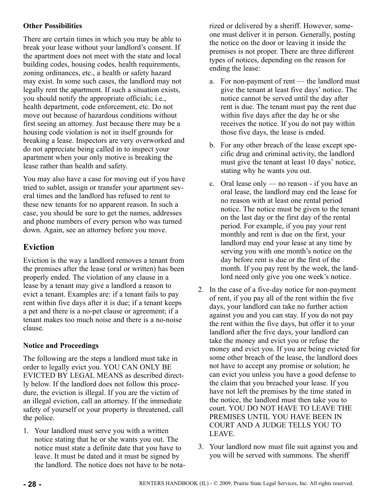## <span id="page-27-0"></span>**Other Possibilities**

There are certain times in which you may be able to break your lease without your landlord's consent. If the apartment does not meet with the state and local building codes, housing codes, health requirements, zoning ordinances, etc., a health or safety hazard may exist. In some such cases, the landlord may not legally rent the apartment. If such a situation exists, you should notify the appropriate officials; i.e., health department, code enforcement, etc. Do not move out because of hazardous conditions without first seeing an attorney. Just because there may be a housing code violation is not in itself grounds for breaking a lease. Inspectors are very overworked and do not appreciate being called in to inspect your apartment when your only motive is breaking the lease rather than health and safety.

You may also have a case for moving out if you have tried to sublet, assign or transfer your apartment several times and the landlord has refused to rent to these new tenants for no apparent reason. In such a case, you should be sure to get the names, addresses and phone numbers of every person who was turned down. Again, see an attorney before you move.

## **Eviction**

Eviction is the way a landlord removes a tenant from the premises after the lease (oral or written) has been properly ended. The violation of any clause in a lease by a tenant may give a landlord a reason to evict a tenant. Examples are: if a tenant fails to pay rent within five days after it is due; if a tenant keeps a pet and there is a no-pet clause or agreement; if a tenant makes too much noise and there is a no-noise clause.

## **Notice and Proceedings**

The following are the steps a landlord must take in order to legally evict you. YOU CAN ONLY BE EVICTED BY LEGAL MEANS as described directly below. If the landlord does not follow this procedure, the eviction is illegal. If you are the victim of an illegal eviction, call an attorney. If the immediate safety of yourself or your property is threatened, call the police.

1. Your landlord must serve you with a written notice stating that he or she wants you out. The notice must state a definite date that you have to leave. It must be dated and it must be signed by the landlord. The notice does not have to be notarized or delivered by a sheriff. However, someone must deliver it in person. Generally, posting the notice on the door or leaving it inside the premises is not proper. There are three different types of notices, depending on the reason for ending the lease:

- a. For non-payment of rent the landlord must give the tenant at least five days' notice. The notice cannot be served until the day after rent is due. The tenant must pay the rent due within five days after the day he or she receives the notice. If you do not pay within those five days, the lease is ended.
- b. For any other breach of the lease except specific drug and criminal activity, the landlord must give the tenant at least 10 days' notice, stating why he wants you out.
- c. Oral lease only no reason if you have an oral lease, the landlord may end the lease for no reason with at least one rental period notice. The notice must be given to the tenant on the last day or the first day of the rental period. For example, if you pay your rent monthly and rent is due on the first, your landlord may end your lease at any time by serving you with one month's notice on the day before rent is due or the first of the month. If you pay rent by the week, the landlord need only give you one week's notice.
- 2. In the case of a five-day notice for non-payment of rent, if you pay all of the rent within the five days, your landlord can take no further action against you and you can stay. If you do not pay the rent within the five days, but offer it to your landlord after the five days, your landlord can take the money and evict you or refuse the money and evict you. If you are being evicted for some other breach of the lease, the landlord does not have to accept any promise or solution; he can evict you unless you have a good defense to the claim that you breached your lease. If you have not left the premises by the time stated in the notice, the landlord must then take you to court. YOU DO NOT HAVE TO LEAVE THE PREMISES UNTIL YOU HAVE BEEN IN COURT AND A JUDGE TELLS YOU TO LEAVE.
- 3. Your landlord now must file suit against you and you will be served with summons. The sheriff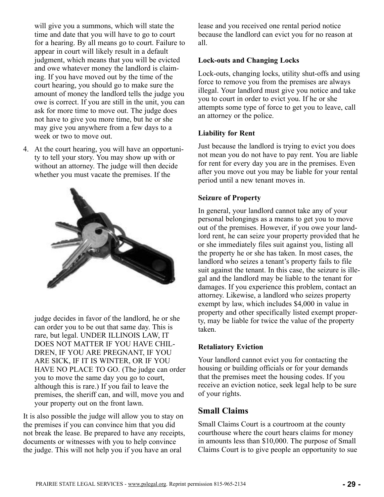<span id="page-28-0"></span>will give you a summons, which will state the time and date that you will have to go to court for a hearing. By all means go to court. Failure to appear in court will likely result in a default judgment, which means that you will be evicted and owe whatever money the landlord is claiming. If you have moved out by the time of the court hearing, you should go to make sure the amount of money the landlord tells the judge you owe is correct. If you are still in the unit, you can ask for more time to move out. The judge does not have to give you more time, but he or she may give you anywhere from a few days to a week or two to move out.

4. At the court hearing, you will have an opportunity to tell your story. You may show up with or without an attorney. The judge will then decide whether you must vacate the premises. If the

![](_page_28_Picture_2.jpeg)

judge decides in favor of the landlord, he or she can order you to be out that same day. This is rare, but legal. UNDER ILLINOIS LAW, IT DOES NOT MATTER IF YOU HAVE CHIL-DREN, IF YOU ARE PREGNANT, IF YOU ARE SICK, IF IT IS WINTER, OR IF YOU HAVE NO PLACE TO GO. (The judge can order you to move the same day you go to court, although this is rare.) If you fail to leave the premises, the sheriff can, and will, move you and your property out on the front lawn.

It is also possible the judge will allow you to stay on the premises if you can convince him that you did not break the lease. Be prepared to have any receipts, documents or witnesses with you to help convince the judge. This will not help you if you have an oral

lease and you received one rental period notice because the landlord can evict you for no reason at all.

#### **Lock-outs and Changing Locks**

Lock-outs, changing locks, utility shut-offs and using force to remove you from the premises are always illegal. Your landlord must give you notice and take you to court in order to evict you. If he or she attempts some type of force to get you to leave, call an attorney or the police.

#### **Liability for Rent**

Just because the landlord is trying to evict you does not mean you do not have to pay rent. You are liable for rent for every day you are in the premises. Even after you move out you may be liable for your rental period until a new tenant moves in.

#### **Seizure of Property**

In general, your landlord cannot take any of your personal belongings as a means to get you to move out of the premises. However, if you owe your landlord rent, he can seize your property provided that he or she immediately files suit against you, listing all the property he or she has taken. In most cases, the landlord who seizes a tenant's property fails to file suit against the tenant. In this case, the seizure is illegal and the landlord may be liable to the tenant for damages. If you experience this problem, contact an attorney. Likewise, a landlord who seizes property exempt by law, which includes \$4,000 in value in property and other specifically listed exempt property, may be liable for twice the value of the property taken.

#### **Retaliatory Eviction**

Your landlord cannot evict you for contacting the housing or building officials or for your demands that the premises meet the housing codes. If you receive an eviction notice, seek legal help to be sure of your rights.

## **Small Claims**

Small Claims Court is a courtroom at the county courthouse where the court hears claims for money in amounts less than \$10,000. The purpose of Small Claims Court is to give people an opportunity to sue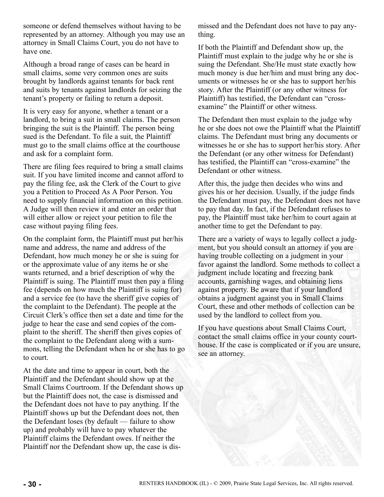<span id="page-29-0"></span>someone or defend themselves without having to be represented by an attorney. Although you may use an attorney in Small Claims Court, you do not have to have one.

Although a broad range of cases can be heard in small claims, some very common ones are suits brought by landlords against tenants for back rent and suits by tenants against landlords for seizing the tenant's property or failing to return a deposit.

It is very easy for anyone, whether a tenant or a landlord, to bring a suit in small claims. The person bringing the suit is the Plaintiff. The person being sued is the Defendant. To file a suit, the Plaintiff must go to the small claims office at the courthouse and ask for a complaint form.

There are filing fees required to bring a small claims suit. If you have limited income and cannot afford to pay the filing fee, ask the Clerk of the Court to give you a Petition to Proceed As A Poor Person. You need to supply financial information on this petition. A Judge will then review it and enter an order that will either allow or reject your petition to file the case without paying filing fees.

On the complaint form, the Plaintiff must put her/his name and address, the name and address of the Defendant, how much money he or she is suing for or the approximate value of any items he or she wants returned, and a brief description of why the Plaintiff is suing. The Plaintiff must then pay a filing fee (depends on how much the Plaintiff is suing for) and a service fee (to have the sheriff give copies of the complaint to the Defendant). The people at the Circuit Clerk's office then set a date and time for the judge to hear the case and send copies of the complaint to the sheriff. The sheriff then gives copies of the complaint to the Defendant along with a summons, telling the Defendant when he or she has to go to court.

At the date and time to appear in court, both the Plaintiff and the Defendant should show up at the Small Claims Courtroom. If the Defendant shows up but the Plaintiff does not, the case is dismissed and the Defendant does not have to pay anything. If the Plaintiff shows up but the Defendant does not, then the Defendant loses (by default — failure to show up) and probably will have to pay whatever the Plaintiff claims the Defendant owes. If neither the Plaintiff nor the Defendant show up, the case is dismissed and the Defendant does not have to pay anything.

If both the Plaintiff and Defendant show up, the Plaintiff must explain to the judge why he or she is suing the Defendant. She/He must state exactly how much money is due her/him and must bring any documents or witnesses he or she has to support her/his story. After the Plaintiff (or any other witness for Plaintiff) has testified, the Defendant can "crossexamine" the Plaintiff or other witness.

The Defendant then must explain to the judge why he or she does not owe the Plaintiff what the Plaintiff claims. The Defendant must bring any documents or witnesses he or she has to support her/his story. After the Defendant (or any other witness for Defendant) has testified, the Plaintiff can "cross-examine" the Defendant or other witness.

After this, the judge then decides who wins and gives his or her decision. Usually, if the judge finds the Defendant must pay, the Defendant does not have to pay that day. In fact, if the Defendant refuses to pay, the Plaintiff must take her/him to court again at another time to get the Defendant to pay.

There are a variety of ways to legally collect a judgment, but you should consult an attorney if you are having trouble collecting on a judgment in your favor against the landlord. Some methods to collect a judgment include locating and freezing bank accounts, garnishing wages, and obtaining liens against property. Be aware that if your landlord obtains a judgment against you in Small Claims Court, these and other methods of collection can be used by the landlord to collect from you.

If you have questions about Small Claims Court, contact the small claims office in your county courthouse. If the case is complicated or if you are unsure, see an attorney.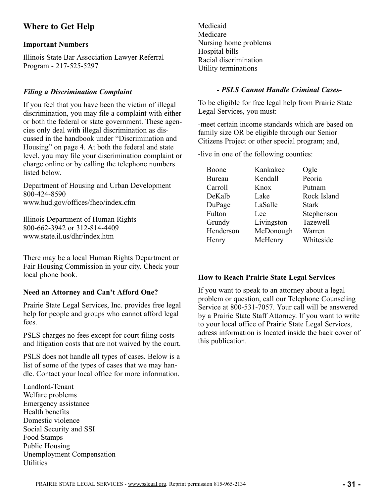## **Where to Get Help**

#### **Important Numbers**

Illinois State Bar Association Lawyer Referral Program - 217-525-5297

#### *Filing a Discrimination Complaint*

If you feel that you have been the victim of illegal discrimination, you may file a complaint with either or both the federal or state government. These agencies only deal with illegal discrimination as discussed in the handbook under "Discrimination and Housing" on page 4. At both the federal and state level, you may file your discrimination complaint or charge online or by calling the telephone numbers listed below.

Department of Housing and Urban Development 800-424-8590 www.hud.gov/offices/fheo/index.cfm

Illinois Department of Human Rights 800-662-3942 or 312-814-4409 www.state.il.us/dhr/index.htm

There may be a local Human Rights Department or Fair Housing Commission in your city. Check your local phone book.

#### **Need an Attorney and Can't Afford One?**

Prairie State Legal Services, Inc. provides free legal help for people and groups who cannot afford legal fees.

PSLS charges no fees except for court filing costs and litigation costs that are not waived by the court.

PSLS does not handle all types of cases. Below is a list of some of the types of cases that we may handle. Contact your local office for more information.

Landlord-Tenant Welfare problems Emergency assistance Health benefits Domestic violence Social Security and SSI Food Stamps Public Housing Unemployment Compensation **Utilities** 

Medicaid Medicare Nursing home problems Hospital bills Racial discrimination Utility terminations

#### *- PSLS Cannot Handle Criminal Cases-*

To be eligible for free legal help from Prairie State Legal Services, you must:

-meet certain income standards which are based on family size OR be eligible through our Senior Citizens Project or other special program; and,

-live in one of the following counties:

| Boone         | Kankakee   | Ogle            |
|---------------|------------|-----------------|
| <b>Bureau</b> | Kendall    | Peoria          |
| Carroll       | Knox       | Putnam          |
| DeKalb        | Lake       | Rock Island     |
| DuPage        | LaSalle    | <b>Stark</b>    |
| Fulton        | Lee        | Stephenson      |
| Grundy        | Livingston | <b>Tazewell</b> |
| Henderson     | McDonough  | Warren          |
| Henry         | McHenry    | Whiteside       |
|               |            |                 |

#### **How to Reach Prairie State Legal Services**

If you want to speak to an attorney about a legal problem or question, call our Telephone Counseling Service at 800-531-7057. Your call will be answered by a Prairie State Staff Attorney. If you want to write to your local office of Prairie State Legal Services, adress information is located inside the back cover of this publication.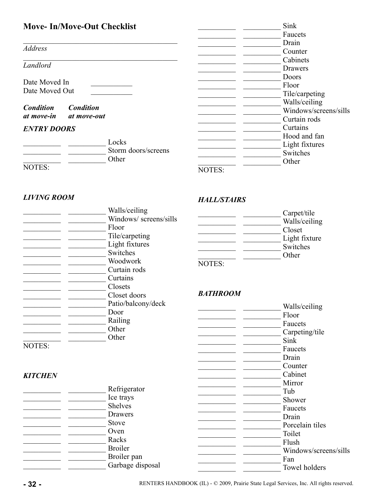# **Move- In/Move-Out Checklist**

 $\mathcal{L}_\text{max}$ 

 $\mathcal{L}_\text{max}$ 

*Address*

*Landlord*

Date Moved In \_\_\_\_\_\_\_\_\_\_\_ Date Moved Out \_\_\_\_\_\_\_\_\_\_\_

*Condition Condition at move-in at move-out*

#### *ENTRY DOORS*

|        | Locks               |
|--------|---------------------|
|        | Storm doors/screens |
|        | Other               |
| NOTES: |                     |

| Sink                  |
|-----------------------|
| Faucets               |
| Drain                 |
| Counter               |
| Cabinets              |
| Drawers               |
| Doors                 |
| Floor                 |
| Tile/carpeting        |
| Walls/ceiling         |
| Windows/screens/sills |
| Curtain rods          |
| Curtains              |
| Hood and fan          |
| Light fixtures        |
| Switches              |
| Other                 |
|                       |

#### *LIVING ROOM*

|        | Walls/ceiling         |
|--------|-----------------------|
|        | Windows/screens/sills |
|        | Floor                 |
|        | Tile/carpeting        |
|        | Light fixtures        |
|        | Switches              |
|        | Woodwork              |
|        | Curtain rods          |
|        | Curtains              |
|        | Closets               |
|        | Closet doors          |
|        | Patio/balcony/deck    |
|        | Door                  |
|        | Railing               |
|        | Other                 |
|        | Other                 |
| NOTES: |                       |

*HALL/STAIRS*

|        | Carpet/tile   |
|--------|---------------|
|        | Walls/ceiling |
|        | Closet        |
|        | Light fixture |
|        | Switches      |
|        | Other         |
| NOTES: |               |

## *BATHROOM*

|                                                                                             | Patio/balcony/deck | Walls/ceiling         |
|---------------------------------------------------------------------------------------------|--------------------|-----------------------|
|                                                                                             | Door               | Floor                 |
|                                                                                             | Railing            | Faucets               |
|                                                                                             | Other              | Carpeting/tile        |
|                                                                                             | Other              | Sink                  |
| NOTES:                                                                                      |                    | Faucets               |
|                                                                                             |                    | Drain                 |
|                                                                                             |                    | Counter               |
| <b>KITCHEN</b>                                                                              |                    | Cabinet               |
|                                                                                             |                    | Mirror                |
|                                                                                             | Refrigerator       | Tub                   |
| <b>Shelves</b><br>Drawers<br><b>Stove</b><br>Oven<br>Racks<br><b>Broiler</b><br>Broiler pan | Ice trays          | Shower                |
|                                                                                             |                    | Faucets               |
|                                                                                             |                    | Drain                 |
|                                                                                             |                    | Porcelain tiles       |
|                                                                                             |                    | Toilet                |
|                                                                                             |                    | Flush                 |
|                                                                                             |                    | Windows/screens/sills |
|                                                                                             |                    | Fan                   |
|                                                                                             | Garbage disposal   | Towel holders         |
|                                                                                             |                    |                       |

**- 32 -** RENTERS HANDBOOK (IL) - © 2009, Prairie State Legal Services, Inc. All rights reserved.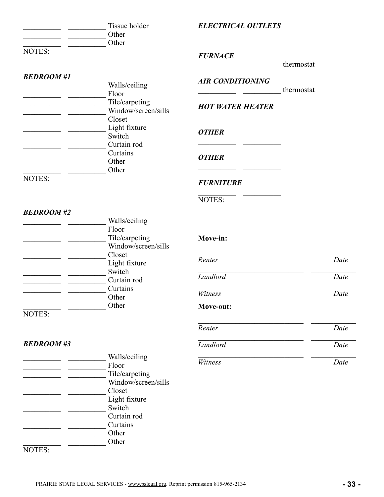Tissue holder \_\_\_\_\_\_\_\_\_\_ \_\_\_\_\_\_\_\_\_\_ Other \_\_\_\_\_\_\_\_\_\_ \_\_\_\_\_\_\_\_\_\_ Other NOTES:

#### *BEDROOM #1*

|               | Walls/ceiling       |
|---------------|---------------------|
|               | Floor               |
|               | Tile/carpeting      |
|               | Window/screen/sills |
|               | Closet              |
|               | Light fixture       |
|               | Switch              |
|               | Curtain rod         |
|               | Curtains            |
|               | Other               |
|               | Other               |
| <b>NOTES:</b> |                     |

## *ELECTRICAL OUTLETS*

#### *FURNACE*

\_\_\_\_\_\_\_\_\_\_ \_\_\_\_\_\_\_\_\_\_ thermostat

## *AIR CONDITIONING*

 $\overline{\phantom{a}}$  ,  $\overline{\phantom{a}}$  ,  $\overline{\phantom{a}}$  ,  $\overline{\phantom{a}}$ 

\_\_\_\_\_\_\_\_\_\_ \_\_\_\_\_\_\_\_\_\_ thermostat

#### *HOT WATER HEATER*  $\overline{\phantom{a}}$  , and the set of  $\overline{\phantom{a}}$

\_\_\_\_\_\_\_\_\_\_ \_\_\_\_\_\_\_\_\_\_

\_\_\_\_\_\_\_\_\_\_ \_\_\_\_\_\_\_\_\_\_

#### *OTHER*

## *OTHER*

#### *FURNITURE* \_\_\_\_\_\_\_\_\_\_ \_\_\_\_\_\_\_\_\_\_

#### NOTES:

#### *BEDROOM #2*

| Walls/ceiling       |
|---------------------|
| Floor               |
| Tile/carpeting      |
| Window/screen/sills |
| Closet              |
| Light fixture       |
| Switch              |
| Curtain rod         |
| Curtains            |
| Other               |
| Other               |
|                     |

NOTES:

## *BEDROOM #3*

\_\_\_\_\_\_\_\_\_\_ \_\_\_\_\_\_\_\_\_\_ Walls/ceiling The Floor<br>Tile/carpeting  $\overline{\phantom{a}}$  , and the set of the set of the set of the set of the set of the set of the set of the set of the set of the set of the set of the set of the set of the set of the set of the set of the set of the set of the s \_\_\_\_\_\_\_\_\_\_ \_\_\_\_\_\_\_\_\_\_ Window/screen/sills \_\_\_\_\_\_\_\_\_\_ \_\_\_\_\_\_\_\_\_\_ Closet Light fixture \_\_\_\_\_\_\_\_\_\_ \_\_\_\_\_\_\_\_\_\_ Switch \_\_\_\_\_\_\_\_\_\_ \_\_\_\_\_\_\_\_\_\_ Curtain rod \_\_\_\_\_\_\_\_\_\_ \_\_\_\_\_\_\_\_\_\_ Curtains \_\_\_\_\_\_\_\_\_\_ \_\_\_\_\_\_\_\_\_\_ Other \_\_\_\_\_\_\_\_\_\_ \_\_\_\_\_\_\_\_\_\_ Other NOTES:

#### **Move-in:**

| Renter    | Date |
|-----------|------|
| Landlord  | Date |
| Witness   | Date |
| Move-out: |      |
| Renter    | Date |
| Landlord  | Date |
| Witness   | Date |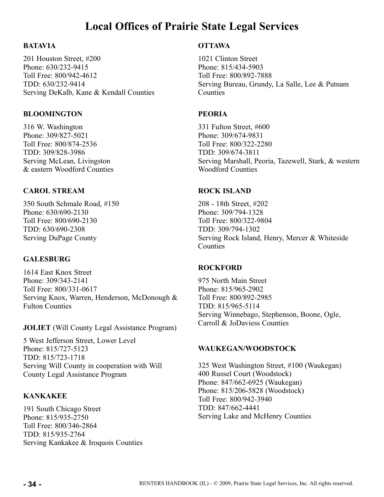# **Local Offices of Prairie State Legal Services**

## **BATAVIA**

201 Houston Street, #200 Phone: 630/232-9415 Toll Free: 800/942-4612 TDD: 630/232-9414 Serving DeKalb, Kane & Kendall Counties

#### **BLOOMINGTON**

316 W. Washington Phone: 309/827-5021 Toll Free: 800/874-2536 TDD: 309/828-3986 Serving McLean, Livingston & eastern Woodford Counties

## **CAROL STREAM**

350 South Schmale Road, #150 Phone: 630/690-2130 Toll Free: 800/690-2130 TDD: 630/690-2308 Serving DuPage County

## **GALESBURG**

1614 East Knox Street Phone: 309/343-2141 Toll Free: 800/331-0617 Serving Knox, Warren, Henderson, McDonough & Fulton Counties

**JOLIET** (Will County Legal Assistance Program)

5 West Jefferson Street, Lower Level Phone: 815/727-5123 TDD: 815/723-1718 Serving Will County in cooperation with Will County Legal Assistance Program

## **KANKAKEE**

191 South Chicago Street Phone: 815/935-2750 Toll Free: 800/346-2864 TDD: 815/935-2764 Serving Kankakee & Iroquois Counties

#### **OTTAWA**

1021 Clinton Street Phone: 815/434-5903 Toll Free: 800/892-7888 Serving Bureau, Grundy, La Salle, Lee & Putnam **Counties** 

#### **PEORIA**

331 Fulton Street, #600 Phone: 309/674-9831 Toll Free: 800/322-2280 TDD: 309/674-3811 Serving Marshall, Peoria, Tazewell, Stark, & western Woodford Counties

#### **ROCK ISLAND**

208 - 18th Street, #202 Phone: 309/794-1328 Toll Free: 800/322-9804 TDD: 309/794-1302 Serving Rock Island, Henry, Mercer & Whiteside **Counties** 

## **ROCKFORD**

975 North Main Street Phone: 815/965-2902 Toll Free: 800/892-2985 TDD: 815/965-5114 Serving Winnebago, Stephenson, Boone, Ogle, Carroll & JoDaviess Counties

#### **WAUKEGAN/WOODSTOCK**

325 West Washington Street, #100 (Waukegan) 400 Russel Court (Woodstock) Phone: 847/662-6925 (Waukegan) Phone: 815/206-5828 (Woodstock) Toll Free: 800/942-3940 TDD: 847/662-4441 Serving Lake and McHenry Counties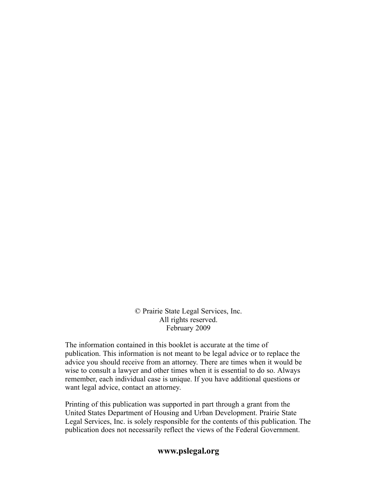© Prairie State Legal Services, Inc. All rights reserved. February 2009

The information contained in this booklet is accurate at the time of publication. This information is not meant to be legal advice or to replace the advice you should receive from an attorney. There are times when it would be wise to consult a lawyer and other times when it is essential to do so. Always remember, each individual case is unique. If you have additional questions or want legal advice, contact an attorney.

Printing of this publication was supported in part through a grant from the United States Department of Housing and Urban Development. Prairie State Legal Services, Inc. is solely responsible for the contents of this publication. The publication does not necessarily reflect the views of the Federal Government.

## **www.pslegal.org**